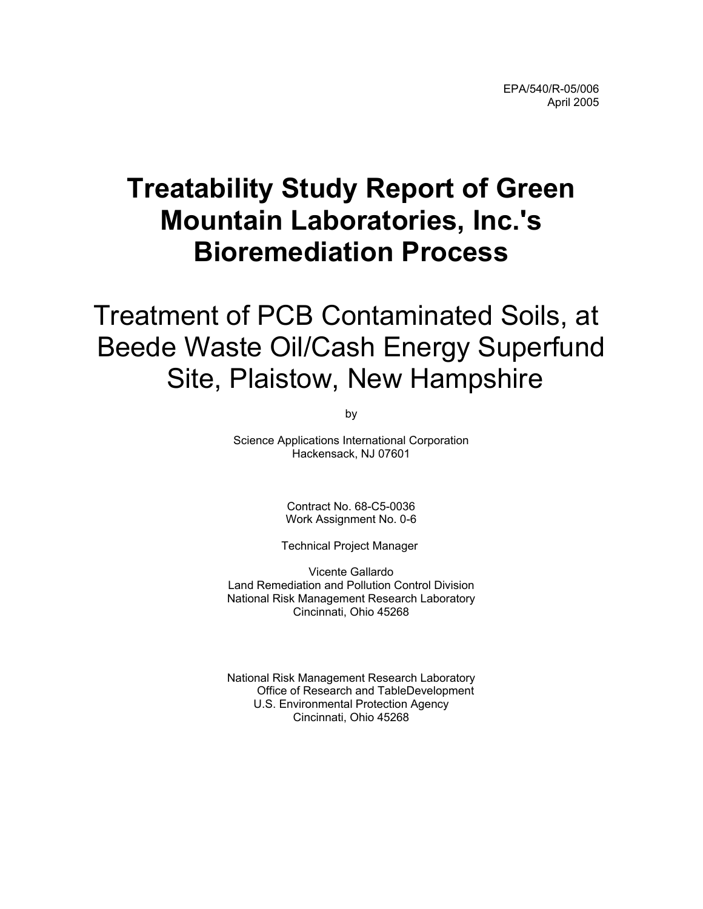# **Treatability Study Report of Green Mountain Laboratories, Inc.'s Bioremediation Process**

Treatment of PCB Contaminated Soils, at Beede Waste Oil/Cash Energy Superfund Site, Plaistow, New Hampshire

by

Science Applications International Corporation Hackensack, NJ 07601

> Contract No. 68-C5-0036 Work Assignment No. 0-6

Technical Project Manager

Vicente Gallardo Land Remediation and Pollution Control Division National Risk Management Research Laboratory Cincinnati, Ohio 45268

National Risk Management Research Laboratory Office of Research and TableDevelopment U.S. Environmental Protection Agency Cincinnati, Ohio 45268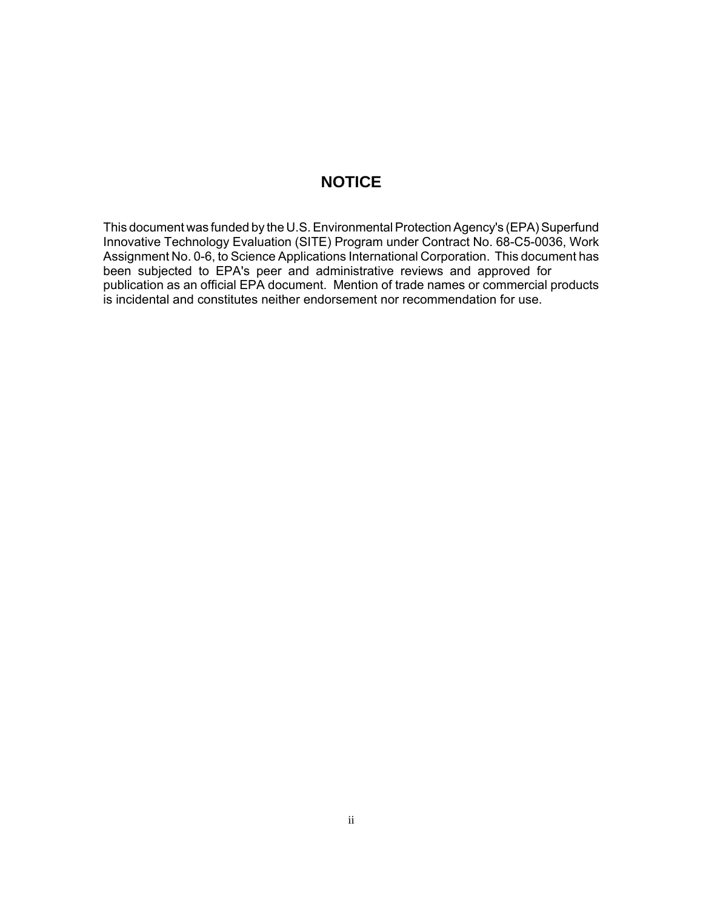# **NOTICE**

This document was funded by the U.S. Environmental Protection Agency's (EPA) Superfund Innovative Technology Evaluation (SITE) Program under Contract No. 68-C5-0036, Work Assignment No. 0-6, to Science Applications International Corporation. This document has been subjected to EPA's peer and administrative reviews and approved for publication as an official EPA document. Mention of trade names or commercial products is incidental and constitutes neither endorsement nor recommendation for use.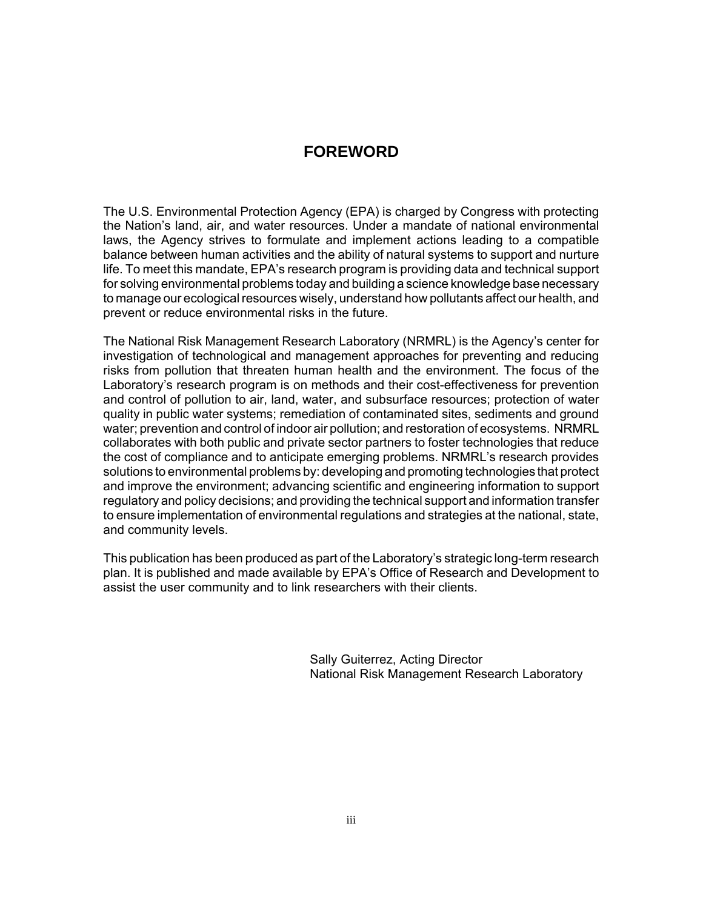# **FOREWORD**

The U.S. Environmental Protection Agency (EPA) is charged by Congress with protecting the Nation's land, air, and water resources. Under a mandate of national environmental laws, the Agency strives to formulate and implement actions leading to a compatible balance between human activities and the ability of natural systems to support and nurture life. To meet this mandate, EPA's research program is providing data and technical support for solving environmental problems today and building a science knowledge base necessary to manage our ecological resources wisely, understand how pollutants affect our health, and prevent or reduce environmental risks in the future.

The National Risk Management Research Laboratory (NRMRL) is the Agency's center for investigation of technological and management approaches for preventing and reducing risks from pollution that threaten human health and the environment. The focus of the Laboratory's research program is on methods and their cost-effectiveness for prevention and control of pollution to air, land, water, and subsurface resources; protection of water quality in public water systems; remediation of contaminated sites, sediments and ground water; prevention and control of indoor air pollution; and restoration of ecosystems. NRMRL collaborates with both public and private sector partners to foster technologies that reduce the cost of compliance and to anticipate emerging problems. NRMRL's research provides solutions to environmental problems by: developing and promoting technologies that protect and improve the environment; advancing scientific and engineering information to support regulatory and policy decisions; and providing the technical support and information transfer to ensure implementation of environmental regulations and strategies at the national, state, and community levels.

This publication has been produced as part of the Laboratory's strategic long-term research plan. It is published and made available by EPA's Office of Research and Development to assist the user community and to link researchers with their clients.

> Sally Guiterrez, Acting Director National Risk Management Research Laboratory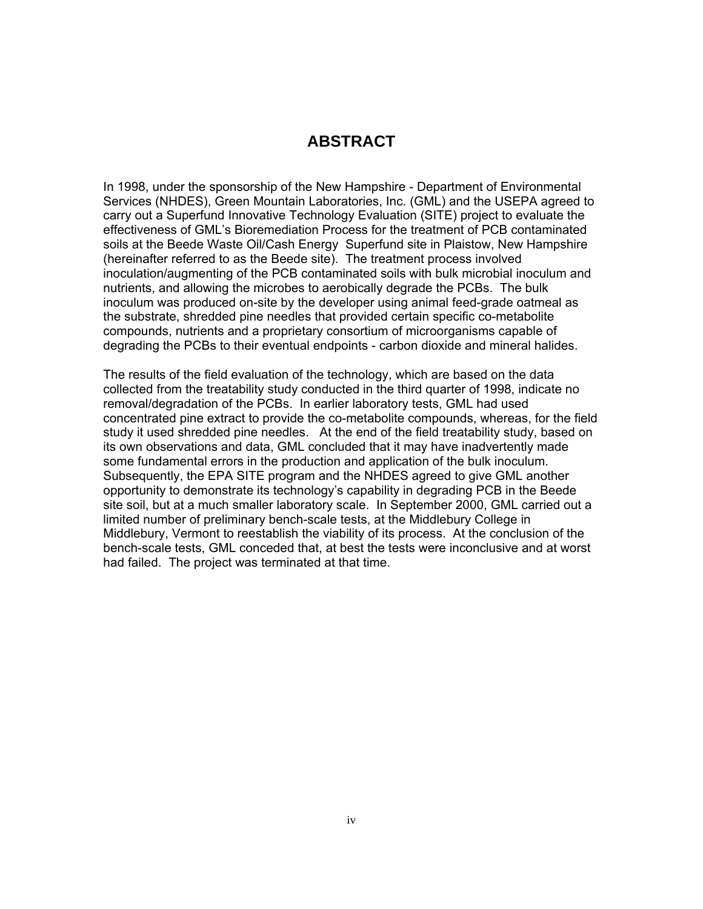# **ABSTRACT**

In 1998, under the sponsorship of the New Hampshire - Department of Environmental Services (NHDES), Green Mountain Laboratories, Inc. (GML) and the USEPA agreed to carry out a Superfund Innovative Technology Evaluation (SITE) project to evaluate the effectiveness of GML's Bioremediation Process for the treatment of PCB contaminated soils at the Beede Waste Oil/Cash Energy Superfund site in Plaistow, New Hampshire (hereinafter referred to as the Beede site). The treatment process involved inoculation/augmenting of the PCB contaminated soils with bulk microbial inoculum and nutrients, and allowing the microbes to aerobically degrade the PCBs. The bulk inoculum was produced on-site by the developer using animal feed-grade oatmeal as the substrate, shredded pine needles that provided certain specific co-metabolite compounds, nutrients and a proprietary consortium of microorganisms capable of degrading the PCBs to their eventual endpoints - carbon dioxide and mineral halides.

The results of the field evaluation of the technology, which are based on the data collected from the treatability study conducted in the third quarter of 1998, indicate no removal/degradation of the PCBs. In earlier laboratory tests, GML had used concentrated pine extract to provide the co-metabolite compounds, whereas, for the field study it used shredded pine needles. At the end of the field treatability study, based on its own observations and data, GML concluded that it may have inadvertently made some fundamental errors in the production and application of the bulk inoculum. Subsequently, the EPA SITE program and the NHDES agreed to give GML another opportunity to demonstrate its technology's capability in degrading PCB in the Beede site soil, but at a much smaller laboratory scale. In September 2000, GML carried out a limited number of preliminary bench-scale tests, at the Middlebury College in Middlebury, Vermont to reestablish the viability of its process. At the conclusion of the bench-scale tests, GML conceded that, at best the tests were inconclusive and at worst had failed. The project was terminated at that time.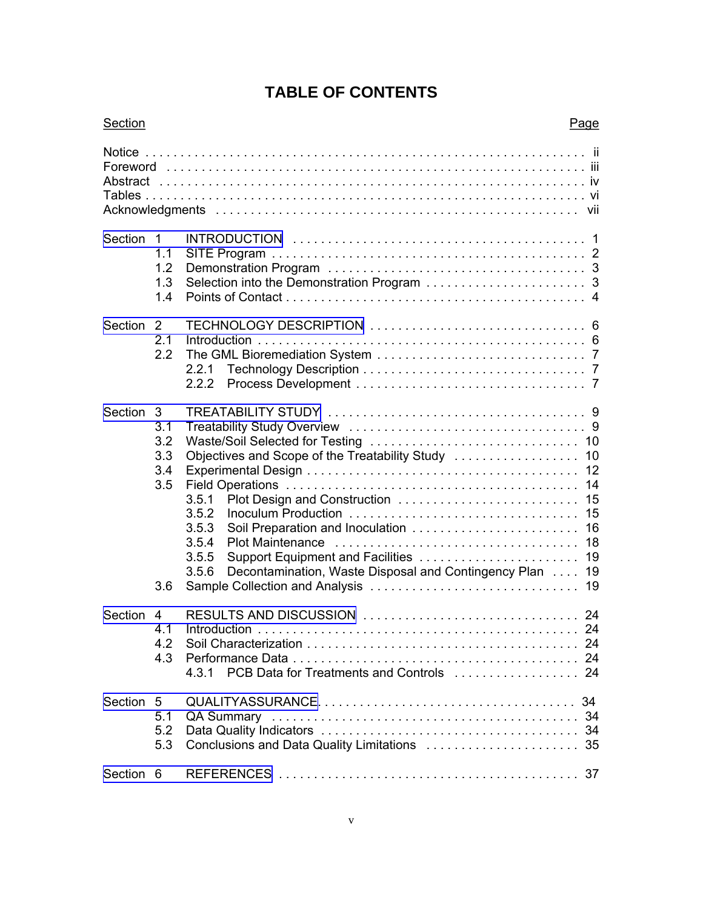# **TABLE OF CONTENTS**

| <b>Section</b> |                                              |                                                                                                                                                                                                                                                                      | Page                                                           |
|----------------|----------------------------------------------|----------------------------------------------------------------------------------------------------------------------------------------------------------------------------------------------------------------------------------------------------------------------|----------------------------------------------------------------|
|                |                                              |                                                                                                                                                                                                                                                                      |                                                                |
| Section        | 1<br>1.1<br>1.2<br>1.3<br>1.4                |                                                                                                                                                                                                                                                                      |                                                                |
| Section        | $\overline{2}$<br>2.1<br>2.2                 | 2.2.1<br>2.2.2                                                                                                                                                                                                                                                       |                                                                |
| Section        | -3<br>3.1<br>3.2<br>3.3<br>3.4<br>3.5<br>3.6 | Objectives and Scope of the Treatability Study<br>Plot Design and Construction<br>3.5.1<br>3.5.2<br>Soil Preparation and Inoculation<br>3.5.3<br>3.5.4<br>Support Equipment and Facilities<br>3.5.5<br>Decontamination, Waste Disposal and Contingency Plan<br>3.5.6 | 10<br>10<br>12<br>14<br>15<br>15<br>16<br>18<br>19<br>19<br>19 |
| Section 4      | 4.1<br>4.2<br>4.3                            | 4.3.1 PCB Data for Treatments and Controls  24                                                                                                                                                                                                                       |                                                                |
| Section 5      | 5.1<br>5.2<br>5.3                            |                                                                                                                                                                                                                                                                      |                                                                |
| Section 6      |                                              |                                                                                                                                                                                                                                                                      |                                                                |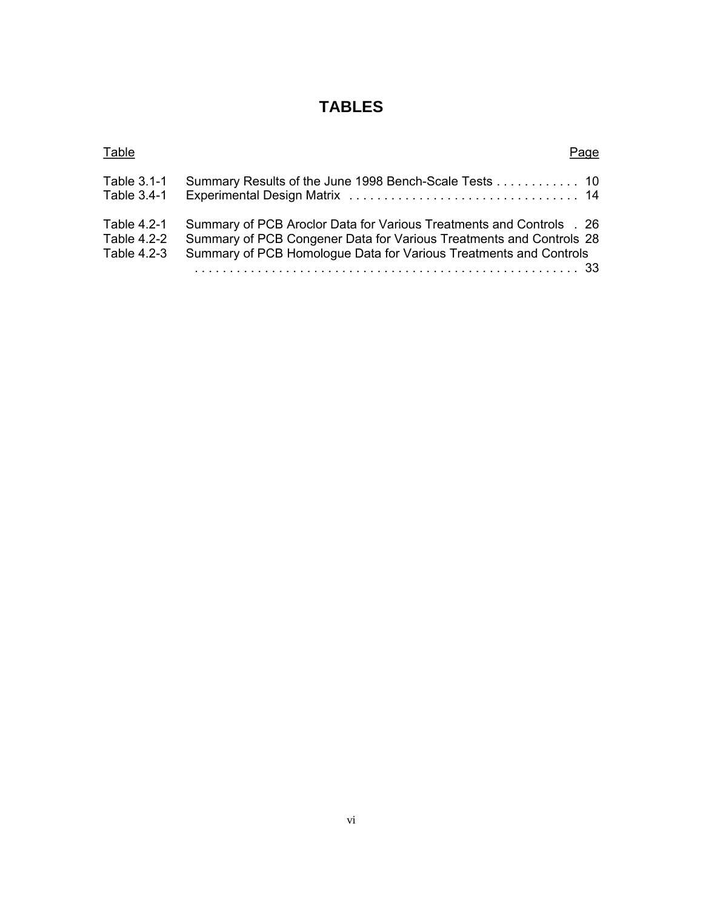# **TABLES**

| Table                                     | Page                                                                                                                                                                                                             |
|-------------------------------------------|------------------------------------------------------------------------------------------------------------------------------------------------------------------------------------------------------------------|
| Table 3.1-1<br>Table 3.4-1                | Summary Results of the June 1998 Bench-Scale Tests 10                                                                                                                                                            |
| Table 4.2-1<br>Table 4.2-2<br>Table 4.2-3 | Summary of PCB Aroclor Data for Various Treatments and Controls . 26<br>Summary of PCB Congener Data for Various Treatments and Controls 28<br>Summary of PCB Homologue Data for Various Treatments and Controls |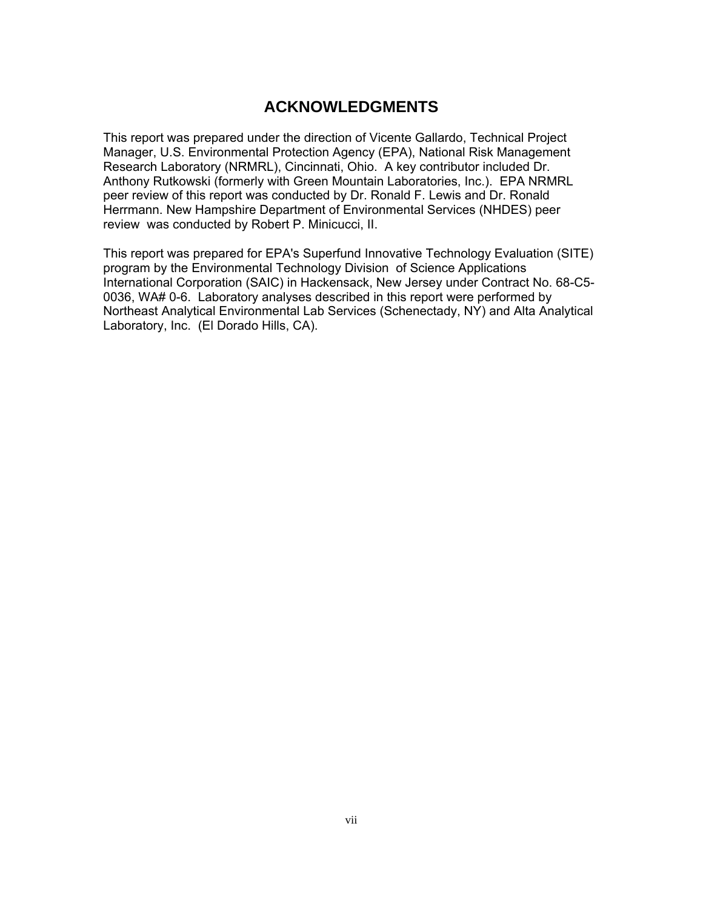# **ACKNOWLEDGMENTS**

This report was prepared under the direction of Vicente Gallardo, Technical Project Manager, U.S. Environmental Protection Agency (EPA), National Risk Management Research Laboratory (NRMRL), Cincinnati, Ohio. A key contributor included Dr. Anthony Rutkowski (formerly with Green Mountain Laboratories, Inc.). EPA NRMRL peer review of this report was conducted by Dr. Ronald F. Lewis and Dr. Ronald Herrmann. New Hampshire Department of Environmental Services (NHDES) peer review was conducted by Robert P. Minicucci, II.

This report was prepared for EPA's Superfund Innovative Technology Evaluation (SITE) program by the Environmental Technology Division of Science Applications International Corporation (SAIC) in Hackensack, New Jersey under Contract No. 68-C5- 0036, WA# 0-6. Laboratory analyses described in this report were performed by Northeast Analytical Environmental Lab Services (Schenectady, NY) and Alta Analytical Laboratory, Inc. (El Dorado Hills, CA).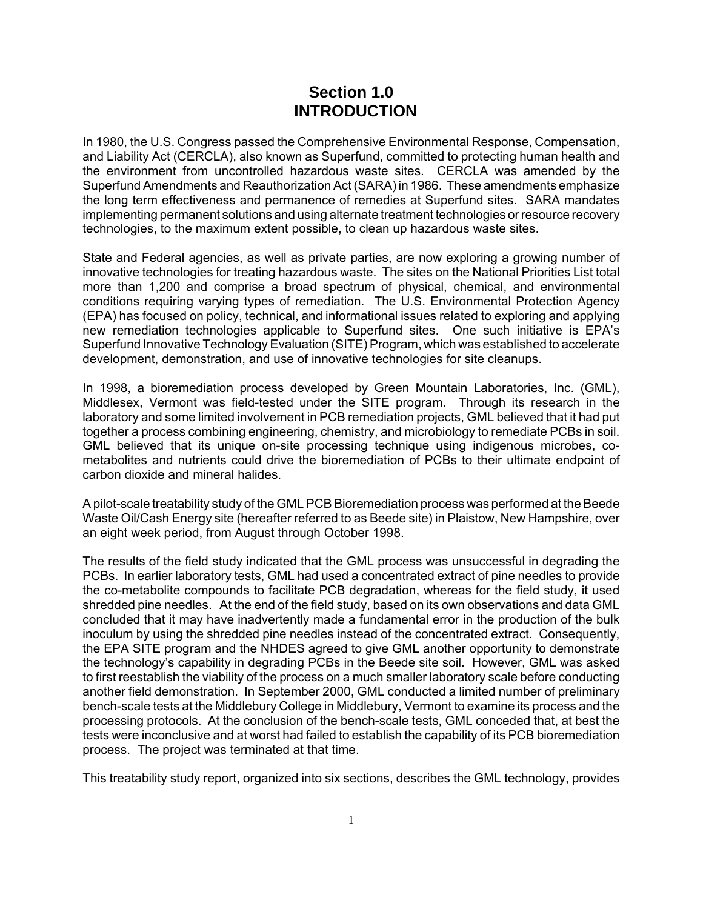# **Section 1.0 INTRODUCTION**

<span id="page-7-0"></span>In 1980, the U.S. Congress passed the Comprehensive Environmental Response, Compensation, and Liability Act (CERCLA), also known as Superfund, committed to protecting human health and the environment from uncontrolled hazardous waste sites. CERCLA was amended by the Superfund Amendments and Reauthorization Act (SARA) in 1986. These amendments emphasize the long term effectiveness and permanence of remedies at Superfund sites. SARA mandates implementing permanent solutions and using alternate treatment technologies or resource recovery technologies, to the maximum extent possible, to clean up hazardous waste sites.

State and Federal agencies, as well as private parties, are now exploring a growing number of innovative technologies for treating hazardous waste. The sites on the National Priorities List total more than 1,200 and comprise a broad spectrum of physical, chemical, and environmental conditions requiring varying types of remediation. The U.S. Environmental Protection Agency (EPA) has focused on policy, technical, and informational issues related to exploring and applying new remediation technologies applicable to Superfund sites. One such initiative is EPA's Superfund Innovative Technology Evaluation (SITE) Program, which was established to accelerate development, demonstration, and use of innovative technologies for site cleanups.

In 1998, a bioremediation process developed by Green Mountain Laboratories, Inc. (GML), Middlesex, Vermont was field-tested under the SITE program. Through its research in the laboratory and some limited involvement in PCB remediation projects, GML believed that it had put together a process combining engineering, chemistry, and microbiology to remediate PCBs in soil. GML believed that its unique on-site processing technique using indigenous microbes, cometabolites and nutrients could drive the bioremediation of PCBs to their ultimate endpoint of carbon dioxide and mineral halides.

A pilot-scale treatability study of the GML PCB Bioremediation process was performed at the Beede Waste Oil/Cash Energy site (hereafter referred to as Beede site) in Plaistow, New Hampshire, over an eight week period, from August through October 1998.

The results of the field study indicated that the GML process was unsuccessful in degrading the PCBs. In earlier laboratory tests, GML had used a concentrated extract of pine needles to provide the co-metabolite compounds to facilitate PCB degradation, whereas for the field study, it used shredded pine needles. At the end of the field study, based on its own observations and data GML concluded that it may have inadvertently made a fundamental error in the production of the bulk inoculum by using the shredded pine needles instead of the concentrated extract. Consequently, the EPA SITE program and the NHDES agreed to give GML another opportunity to demonstrate the technology's capability in degrading PCBs in the Beede site soil. However, GML was asked to first reestablish the viability of the process on a much smaller laboratory scale before conducting another field demonstration. In September 2000, GML conducted a limited number of preliminary bench-scale tests at the Middlebury College in Middlebury, Vermont to examine its process and the processing protocols. At the conclusion of the bench-scale tests, GML conceded that, at best the tests were inconclusive and at worst had failed to establish the capability of its PCB bioremediation process. The project was terminated at that time.

This treatability study report, organized into six sections, describes the GML technology, provides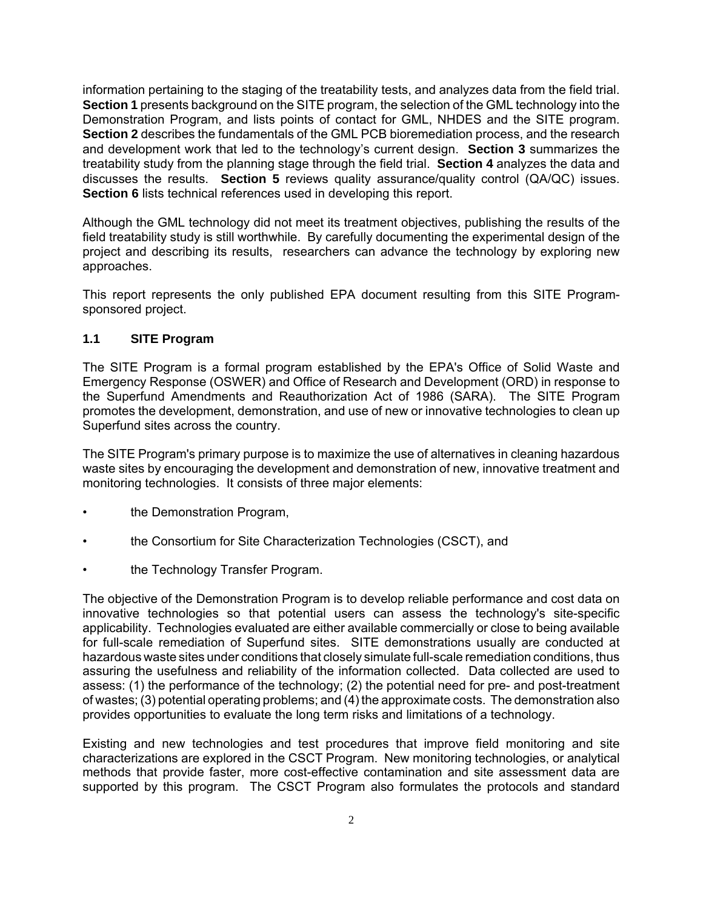information pertaining to the staging of the treatability tests, and analyzes data from the field trial. **Section 1** presents background on the SITE program, the selection of the GML technology into the Demonstration Program, and lists points of contact for GML, NHDES and the SITE program. **Section 2** describes the fundamentals of the GML PCB bioremediation process, and the research and development work that led to the technology's current design. **Section 3** summarizes the treatability study from the planning stage through the field trial. **Section 4** analyzes the data and discusses the results. **Section 5** reviews quality assurance/quality control (QA/QC) issues. **Section 6** lists technical references used in developing this report.

Although the GML technology did not meet its treatment objectives, publishing the results of the field treatability study is still worthwhile. By carefully documenting the experimental design of the project and describing its results, researchers can advance the technology by exploring new approaches.

This report represents the only published EPA document resulting from this SITE Programsponsored project.

# **1.1 SITE Program**

The SITE Program is a formal program established by the EPA's Office of Solid Waste and Emergency Response (OSWER) and Office of Research and Development (ORD) in response to the Superfund Amendments and Reauthorization Act of 1986 (SARA). The SITE Program promotes the development, demonstration, and use of new or innovative technologies to clean up Superfund sites across the country.

The SITE Program's primary purpose is to maximize the use of alternatives in cleaning hazardous waste sites by encouraging the development and demonstration of new, innovative treatment and monitoring technologies. It consists of three major elements:

- the Demonstration Program,
- the Consortium for Site Characterization Technologies (CSCT), and
- the Technology Transfer Program.

The objective of the Demonstration Program is to develop reliable performance and cost data on innovative technologies so that potential users can assess the technology's site-specific applicability. Technologies evaluated are either available commercially or close to being available for full-scale remediation of Superfund sites. SITE demonstrations usually are conducted at hazardous waste sites under conditions that closely simulate full-scale remediation conditions, thus assuring the usefulness and reliability of the information collected. Data collected are used to assess: (1) the performance of the technology; (2) the potential need for pre- and post-treatment of wastes; (3) potential operating problems; and (4) the approximate costs. The demonstration also provides opportunities to evaluate the long term risks and limitations of a technology.

Existing and new technologies and test procedures that improve field monitoring and site characterizations are explored in the CSCT Program. New monitoring technologies, or analytical methods that provide faster, more cost-effective contamination and site assessment data are supported by this program. The CSCT Program also formulates the protocols and standard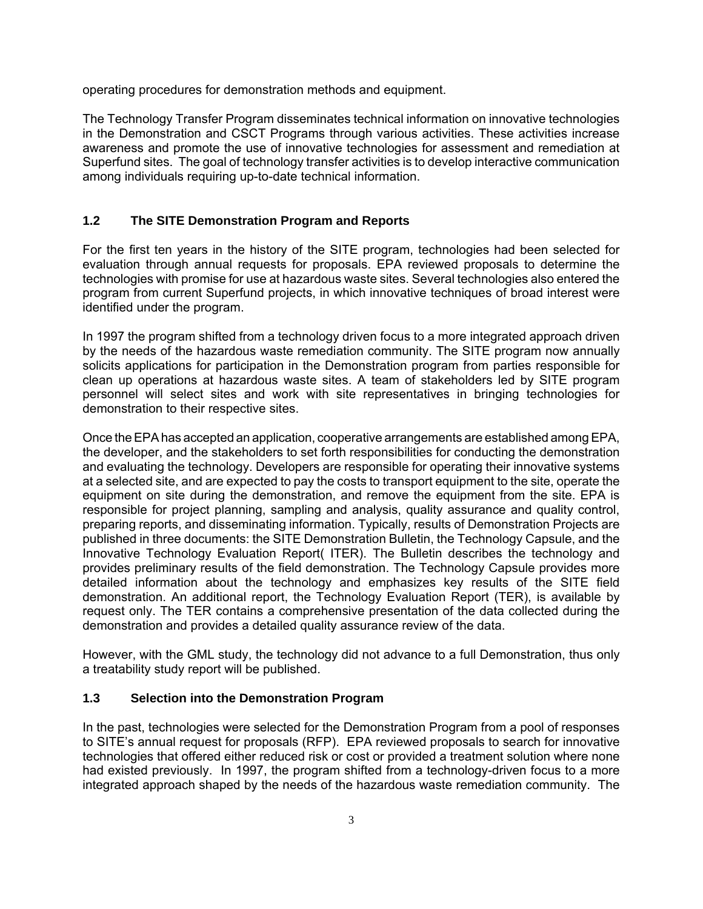operating procedures for demonstration methods and equipment.

The Technology Transfer Program disseminates technical information on innovative technologies in the Demonstration and CSCT Programs through various activities. These activities increase awareness and promote the use of innovative technologies for assessment and remediation at Superfund sites. The goal of technology transfer activities is to develop interactive communication among individuals requiring up-to-date technical information.

# **1.2 The SITE Demonstration Program and Reports**

For the first ten years in the history of the SITE program, technologies had been selected for evaluation through annual requests for proposals. EPA reviewed proposals to determine the technologies with promise for use at hazardous waste sites. Several technologies also entered the program from current Superfund projects, in which innovative techniques of broad interest were identified under the program.

In 1997 the program shifted from a technology driven focus to a more integrated approach driven by the needs of the hazardous waste remediation community. The SITE program now annually solicits applications for participation in the Demonstration program from parties responsible for clean up operations at hazardous waste sites. A team of stakeholders led by SITE program personnel will select sites and work with site representatives in bringing technologies for demonstration to their respective sites.

Once the EPA has accepted an application, cooperative arrangements are established among EPA, the developer, and the stakeholders to set forth responsibilities for conducting the demonstration and evaluating the technology. Developers are responsible for operating their innovative systems at a selected site, and are expected to pay the costs to transport equipment to the site, operate the equipment on site during the demonstration, and remove the equipment from the site. EPA is responsible for project planning, sampling and analysis, quality assurance and quality control, preparing reports, and disseminating information. Typically, results of Demonstration Projects are published in three documents: the SITE Demonstration Bulletin, the Technology Capsule, and the Innovative Technology Evaluation Report( ITER). The Bulletin describes the technology and provides preliminary results of the field demonstration. The Technology Capsule provides more detailed information about the technology and emphasizes key results of the SITE field demonstration. An additional report, the Technology Evaluation Report (TER), is available by request only. The TER contains a comprehensive presentation of the data collected during the demonstration and provides a detailed quality assurance review of the data.

However, with the GML study, the technology did not advance to a full Demonstration, thus only a treatability study report will be published.

# **1.3 Selection into the Demonstration Program**

In the past, technologies were selected for the Demonstration Program from a pool of responses to SITE's annual request for proposals (RFP). EPA reviewed proposals to search for innovative technologies that offered either reduced risk or cost or provided a treatment solution where none had existed previously. In 1997, the program shifted from a technology-driven focus to a more integrated approach shaped by the needs of the hazardous waste remediation community. The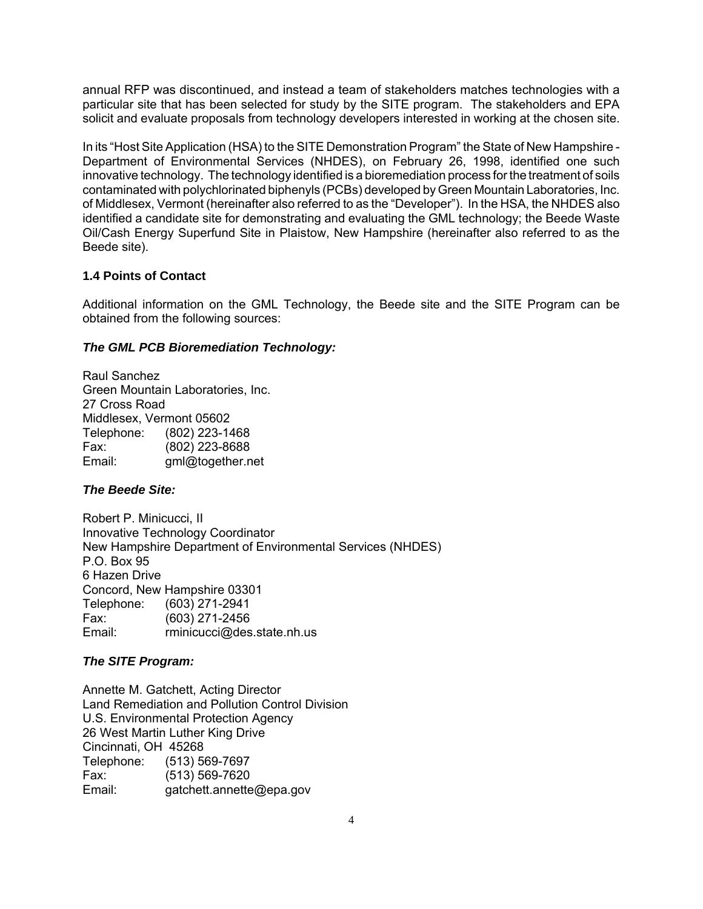annual RFP was discontinued, and instead a team of stakeholders matches technologies with a particular site that has been selected for study by the SITE program. The stakeholders and EPA solicit and evaluate proposals from technology developers interested in working at the chosen site.

In its "Host Site Application (HSA) to the SITE Demonstration Program" the State of New Hampshire - Department of Environmental Services (NHDES), on February 26, 1998, identified one such innovative technology. The technology identified is a bioremediation process for the treatment of soils contaminated with polychlorinated biphenyls (PCBs) developed by Green Mountain Laboratories, Inc. of Middlesex, Vermont (hereinafter also referred to as the "Developer"). In the HSA, the NHDES also identified a candidate site for demonstrating and evaluating the GML technology; the Beede Waste Oil/Cash Energy Superfund Site in Plaistow, New Hampshire (hereinafter also referred to as the Beede site).

# **1.4 Points of Contact**

Additional information on the GML Technology, the Beede site and the SITE Program can be obtained from the following sources:

#### *The GML PCB Bioremediation Technology:*

Raul Sanchez Green Mountain Laboratories, Inc. 27 Cross Road Middlesex, Vermont 05602 Telephone: (802) 223-1468 Fax: (802) 223-8688 Email: gml@together.net

# *The Beede Site:*

Robert P. Minicucci, II Innovative Technology Coordinator New Hampshire Department of Environmental Services (NHDES) P.O. Box 95 6 Hazen Drive Concord, New Hampshire 03301 Telephone: (603) 271-2941 Fax: (603) 271-2456 Email: rminicucci@des.state.nh.us

# *The SITE Program:*

Annette M. Gatchett, Acting Director Land Remediation and Pollution Control Division U.S. Environmental Protection Agency 26 West Martin Luther King Drive Cincinnati, OH 45268 Telephone: (513) 569-7697 Fax: (513) 569-7620<br>
Email: aatchett.annette gatchett.annette@epa.gov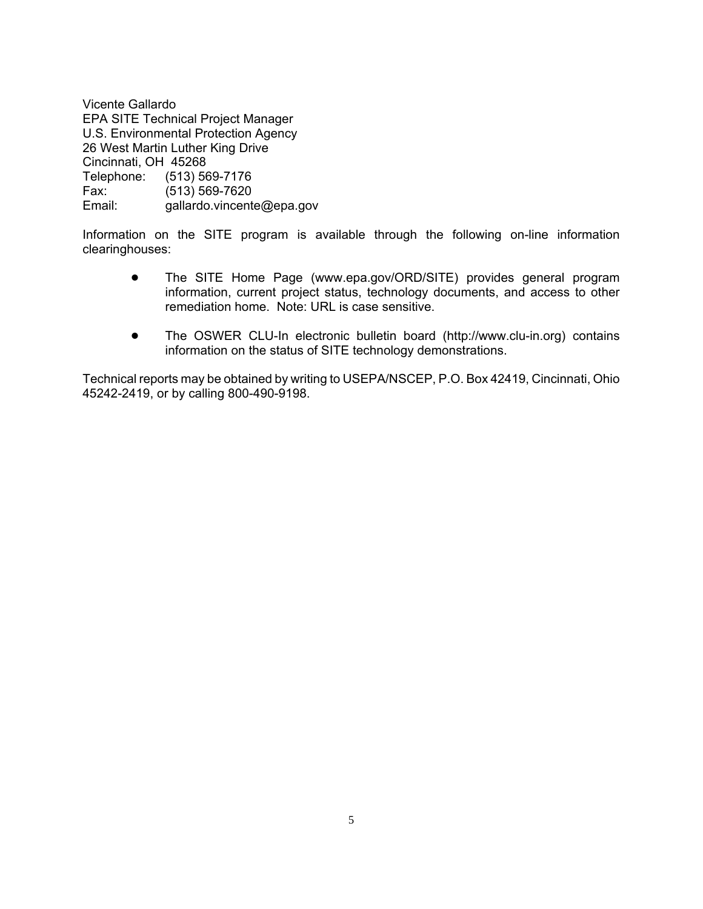Vicente Gallardo EPA SITE Technical Project Manager U.S. Environmental Protection Agency 26 West Martin Luther King Drive Cincinnati, OH 45268 Telephone: (513) 569-7176 Fax: (513) 569-7620 Email: gallardo.vincente@epa.gov

Information on the SITE program is available through the following on-line information clearinghouses:

- The SITE Home Page (www.epa.gov/ORD/SITE) provides general program information, current project status, technology documents, and access to other remediation home. Note: URL is case sensitive.
- The OSWER CLU-In electronic bulletin board (http://www.clu-in.org) contains information on the status of SITE technology demonstrations.

Technical reports may be obtained by writing to USEPA/NSCEP, P.O. Box 42419, Cincinnati, Ohio 45242-2419, or by calling 800-490-9198.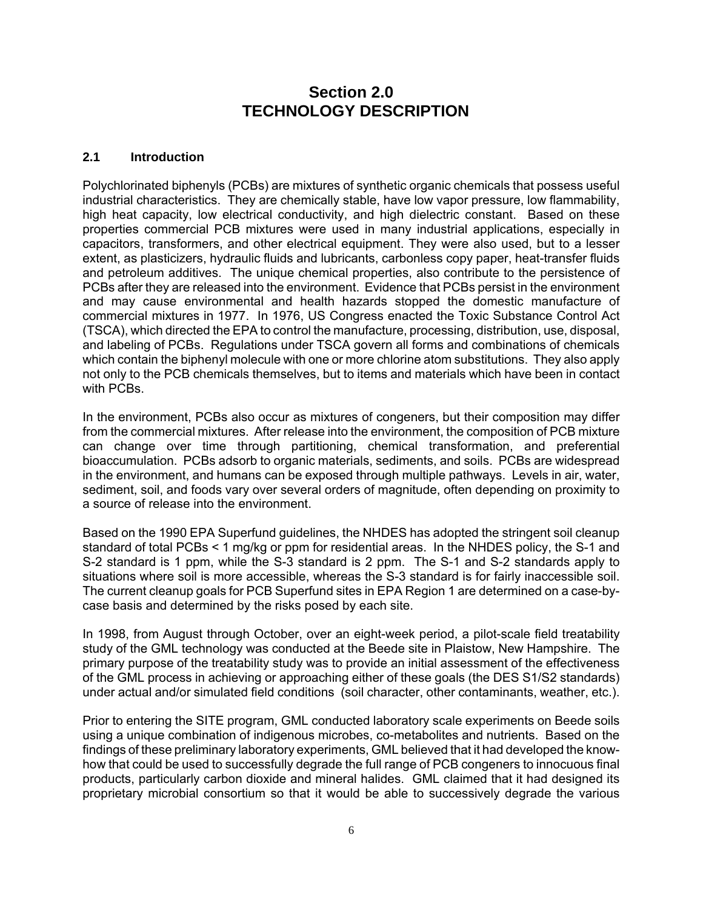# **Section 2.0 TECHNOLOGY DESCRIPTION**

#### <span id="page-12-0"></span>**2.1 Introduction**

Polychlorinated biphenyls (PCBs) are mixtures of synthetic organic chemicals that possess useful industrial characteristics. They are chemically stable, have low vapor pressure, low flammability, high heat capacity, low electrical conductivity, and high dielectric constant. Based on these properties commercial PCB mixtures were used in many industrial applications, especially in capacitors, transformers, and other electrical equipment. They were also used, but to a lesser extent, as plasticizers, hydraulic fluids and lubricants, carbonless copy paper, heat-transfer fluids and petroleum additives. The unique chemical properties, also contribute to the persistence of PCBs after they are released into the environment. Evidence that PCBs persist in the environment and may cause environmental and health hazards stopped the domestic manufacture of commercial mixtures in 1977. In 1976, US Congress enacted the Toxic Substance Control Act (TSCA), which directed the EPA to control the manufacture, processing, distribution, use, disposal, and labeling of PCBs. Regulations under TSCA govern all forms and combinations of chemicals which contain the biphenyl molecule with one or more chlorine atom substitutions. They also apply not only to the PCB chemicals themselves, but to items and materials which have been in contact with PCBs.

In the environment, PCBs also occur as mixtures of congeners, but their composition may differ from the commercial mixtures. After release into the environment, the composition of PCB mixture can change over time through partitioning, chemical transformation, and preferential bioaccumulation. PCBs adsorb to organic materials, sediments, and soils. PCBs are widespread in the environment, and humans can be exposed through multiple pathways. Levels in air, water, sediment, soil, and foods vary over several orders of magnitude, often depending on proximity to a source of release into the environment.

Based on the 1990 EPA Superfund guidelines, the NHDES has adopted the stringent soil cleanup standard of total PCBs < 1 mg/kg or ppm for residential areas. In the NHDES policy, the S-1 and S-2 standard is 1 ppm, while the S-3 standard is 2 ppm. The S-1 and S-2 standards apply to situations where soil is more accessible, whereas the S-3 standard is for fairly inaccessible soil. The current cleanup goals for PCB Superfund sites in EPA Region 1 are determined on a case-bycase basis and determined by the risks posed by each site.

In 1998, from August through October, over an eight-week period, a pilot-scale field treatability study of the GML technology was conducted at the Beede site in Plaistow, New Hampshire. The primary purpose of the treatability study was to provide an initial assessment of the effectiveness of the GML process in achieving or approaching either of these goals (the DES S1/S2 standards) under actual and/or simulated field conditions (soil character, other contaminants, weather, etc.).

Prior to entering the SITE program, GML conducted laboratory scale experiments on Beede soils using a unique combination of indigenous microbes, co-metabolites and nutrients. Based on the findings of these preliminary laboratory experiments, GML believed that it had developed the knowhow that could be used to successfully degrade the full range of PCB congeners to innocuous final products, particularly carbon dioxide and mineral halides. GML claimed that it had designed its proprietary microbial consortium so that it would be able to successively degrade the various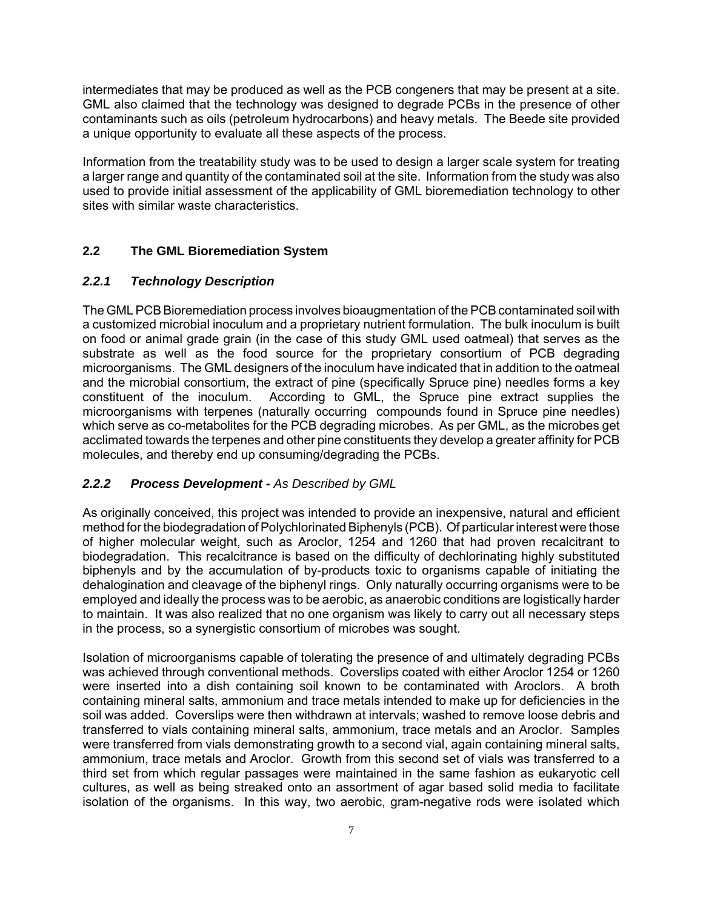intermediates that may be produced as well as the PCB congeners that may be present at a site. GML also claimed that the technology was designed to degrade PCBs in the presence of other contaminants such as oils (petroleum hydrocarbons) and heavy metals. The Beede site provided a unique opportunity to evaluate all these aspects of the process.

Information from the treatability study was to be used to design a larger scale system for treating a larger range and quantity of the contaminated soil at the site. Information from the study was also used to provide initial assessment of the applicability of GML bioremediation technology to other sites with similar waste characteristics.

# **2.2 The GML Bioremediation System**

# *2.2.1 Technology Description*

The GML PCB Bioremediation process involves bioaugmentation of the PCB contaminated soil with a customized microbial inoculum and a proprietary nutrient formulation. The bulk inoculum is built on food or animal grade grain (in the case of this study GML used oatmeal) that serves as the substrate as well as the food source for the proprietary consortium of PCB degrading microorganisms. The GML designers of the inoculum have indicated that in addition to the oatmeal and the microbial consortium, the extract of pine (specifically Spruce pine) needles forms a key constituent of the inoculum. According to GML, the Spruce pine extract supplies the microorganisms with terpenes (naturally occurring compounds found in Spruce pine needles) which serve as co-metabolites for the PCB degrading microbes. As per GML, as the microbes get acclimated towards the terpenes and other pine constituents they develop a greater affinity for PCB molecules, and thereby end up consuming/degrading the PCBs.

# *2.2.2 Process Development - As Described by GML*

As originally conceived, this project was intended to provide an inexpensive, natural and efficient method for the biodegradation of Polychlorinated Biphenyls (PCB). Of particular interest were those of higher molecular weight, such as Aroclor, 1254 and 1260 that had proven recalcitrant to biodegradation. This recalcitrance is based on the difficulty of dechlorinating highly substituted biphenyls and by the accumulation of by-products toxic to organisms capable of initiating the dehalogination and cleavage of the biphenyl rings. Only naturally occurring organisms were to be employed and ideally the process was to be aerobic, as anaerobic conditions are logistically harder to maintain. It was also realized that no one organism was likely to carry out all necessary steps in the process, so a synergistic consortium of microbes was sought.

Isolation of microorganisms capable of tolerating the presence of and ultimately degrading PCBs was achieved through conventional methods. Coverslips coated with either Aroclor 1254 or 1260 were inserted into a dish containing soil known to be contaminated with Aroclors. A broth containing mineral salts, ammonium and trace metals intended to make up for deficiencies in the soil was added. Coverslips were then withdrawn at intervals; washed to remove loose debris and transferred to vials containing mineral salts, ammonium, trace metals and an Aroclor. Samples were transferred from vials demonstrating growth to a second vial, again containing mineral salts, ammonium, trace metals and Aroclor. Growth from this second set of vials was transferred to a third set from which regular passages were maintained in the same fashion as eukaryotic cell cultures, as well as being streaked onto an assortment of agar based solid media to facilitate isolation of the organisms. In this way, two aerobic, gram-negative rods were isolated which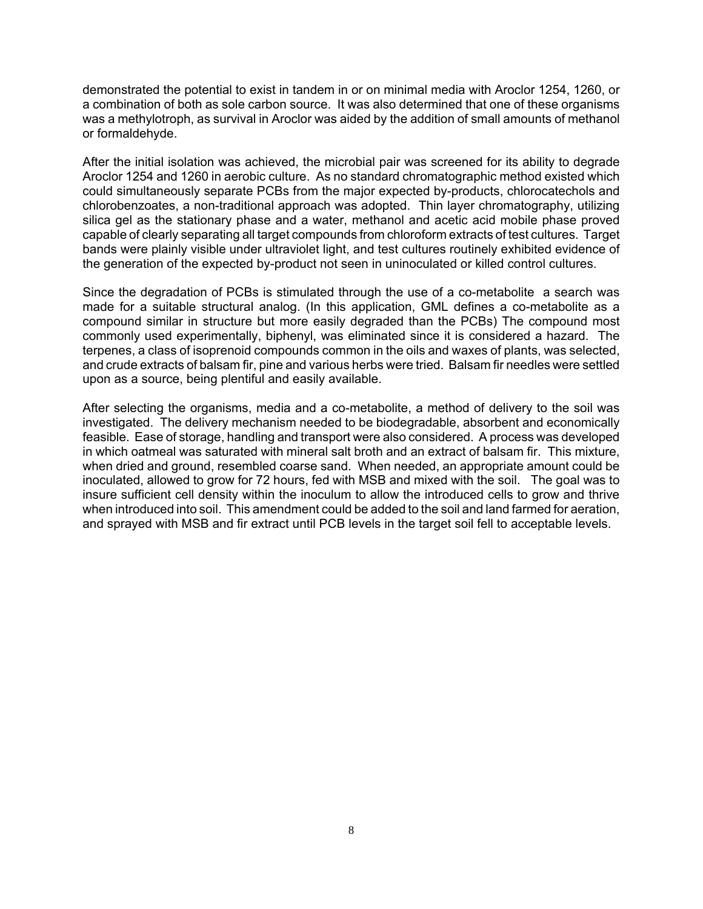demonstrated the potential to exist in tandem in or on minimal media with Aroclor 1254, 1260, or a combination of both as sole carbon source. It was also determined that one of these organisms was a methylotroph, as survival in Aroclor was aided by the addition of small amounts of methanol or formaldehyde.

After the initial isolation was achieved, the microbial pair was screened for its ability to degrade Aroclor 1254 and 1260 in aerobic culture. As no standard chromatographic method existed which could simultaneously separate PCBs from the major expected by-products, chlorocatechols and chlorobenzoates, a non-traditional approach was adopted. Thin layer chromatography, utilizing silica gel as the stationary phase and a water, methanol and acetic acid mobile phase proved capable of clearly separating all target compounds from chloroform extracts of test cultures. Target bands were plainly visible under ultraviolet light, and test cultures routinely exhibited evidence of the generation of the expected by-product not seen in uninoculated or killed control cultures.

Since the degradation of PCBs is stimulated through the use of a co-metabolite a search was made for a suitable structural analog. (In this application, GML defines a co-metabolite as a compound similar in structure but more easily degraded than the PCBs) The compound most commonly used experimentally, biphenyl, was eliminated since it is considered a hazard. The terpenes, a class of isoprenoid compounds common in the oils and waxes of plants, was selected, and crude extracts of balsam fir, pine and various herbs were tried. Balsam fir needles were settled upon as a source, being plentiful and easily available.

After selecting the organisms, media and a co-metabolite, a method of delivery to the soil was investigated. The delivery mechanism needed to be biodegradable, absorbent and economically feasible. Ease of storage, handling and transport were also considered. A process was developed in which oatmeal was saturated with mineral salt broth and an extract of balsam fir. This mixture, when dried and ground, resembled coarse sand. When needed, an appropriate amount could be inoculated, allowed to grow for 72 hours, fed with MSB and mixed with the soil. The goal was to insure sufficient cell density within the inoculum to allow the introduced cells to grow and thrive when introduced into soil. This amendment could be added to the soil and land farmed for aeration, and sprayed with MSB and fir extract until PCB levels in the target soil fell to acceptable levels.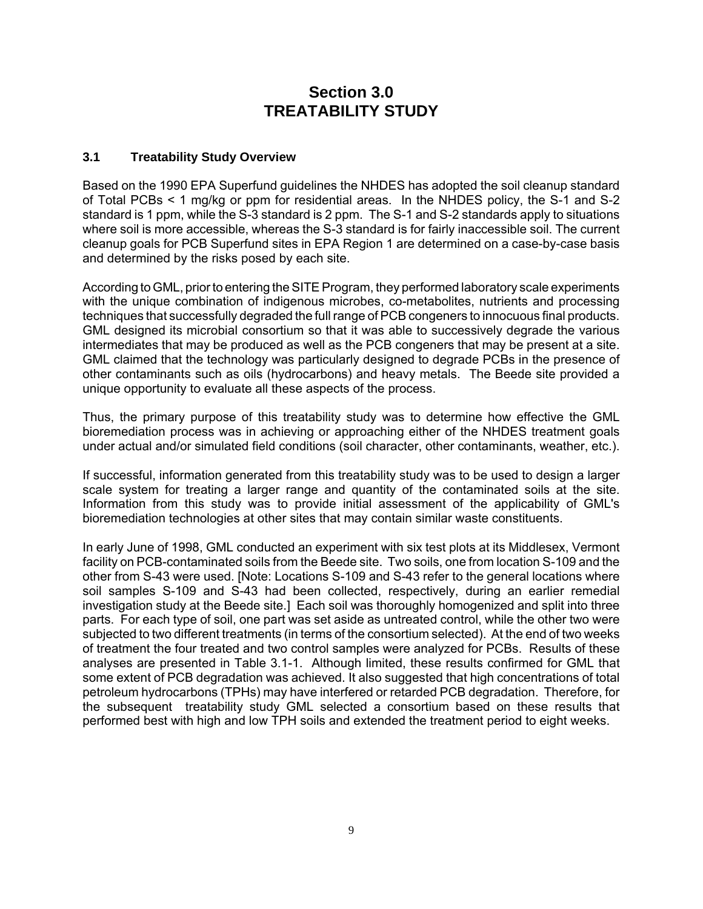# **Section 3.0 TREATABILITY STUDY**

# <span id="page-15-0"></span>**3.1 Treatability Study Overview**

Based on the 1990 EPA Superfund guidelines the NHDES has adopted the soil cleanup standard of Total PCBs < 1 mg/kg or ppm for residential areas. In the NHDES policy, the S-1 and S-2 standard is 1 ppm, while the S-3 standard is 2 ppm. The S-1 and S-2 standards apply to situations where soil is more accessible, whereas the S-3 standard is for fairly inaccessible soil. The current cleanup goals for PCB Superfund sites in EPA Region 1 are determined on a case-by-case basis and determined by the risks posed by each site.

According to GML, prior to entering the SITE Program, they performed laboratory scale experiments with the unique combination of indigenous microbes, co-metabolites, nutrients and processing techniques that successfully degraded the full range of PCB congeners to innocuous final products. GML designed its microbial consortium so that it was able to successively degrade the various intermediates that may be produced as well as the PCB congeners that may be present at a site. GML claimed that the technology was particularly designed to degrade PCBs in the presence of other contaminants such as oils (hydrocarbons) and heavy metals. The Beede site provided a unique opportunity to evaluate all these aspects of the process.

Thus, the primary purpose of this treatability study was to determine how effective the GML bioremediation process was in achieving or approaching either of the NHDES treatment goals under actual and/or simulated field conditions (soil character, other contaminants, weather, etc.).

If successful, information generated from this treatability study was to be used to design a larger scale system for treating a larger range and quantity of the contaminated soils at the site. Information from this study was to provide initial assessment of the applicability of GML's bioremediation technologies at other sites that may contain similar waste constituents.

In early June of 1998, GML conducted an experiment with six test plots at its Middlesex, Vermont facility on PCB-contaminated soils from the Beede site. Two soils, one from location S-109 and the other from S-43 were used. [Note: Locations S-109 and S-43 refer to the general locations where soil samples S-109 and S-43 had been collected, respectively, during an earlier remedial investigation study at the Beede site.] Each soil was thoroughly homogenized and split into three parts. For each type of soil, one part was set aside as untreated control, while the other two were subjected to two different treatments (in terms of the consortium selected). At the end of two weeks of treatment the four treated and two control samples were analyzed for PCBs. Results of these analyses are presented in Table 3.1-1. Although limited, these results confirmed for GML that some extent of PCB degradation was achieved. It also suggested that high concentrations of total petroleum hydrocarbons (TPHs) may have interfered or retarded PCB degradation. Therefore, for the subsequent treatability study GML selected a consortium based on these results that performed best with high and low TPH soils and extended the treatment period to eight weeks.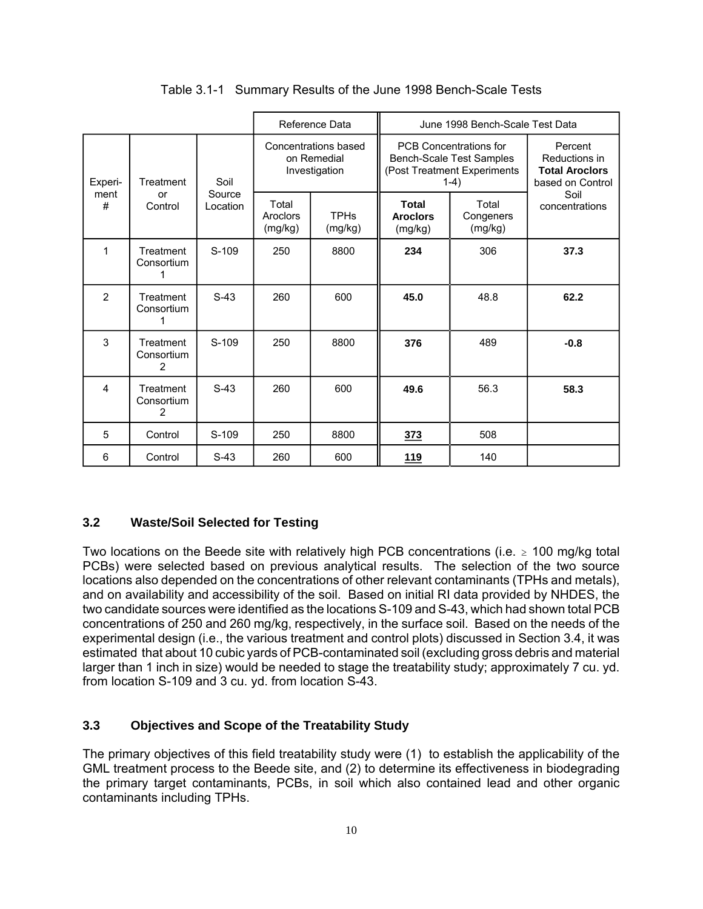|           |                              |                    |                              | Reference Data                                       | June 1998 Bench-Scale Test Data            |                                                                                                           |                                                                       |  |  |  |
|-----------|------------------------------|--------------------|------------------------------|------------------------------------------------------|--------------------------------------------|-----------------------------------------------------------------------------------------------------------|-----------------------------------------------------------------------|--|--|--|
| Experi-   | Treatment                    | Soil               |                              | Concentrations based<br>on Remedial<br>Investigation |                                            | <b>PCB Concentrations for</b><br><b>Bench-Scale Test Samples</b><br>(Post Treatment Experiments<br>$1-4)$ | Percent<br>Reductions in<br><b>Total Aroclors</b><br>based on Control |  |  |  |
| ment<br># | or<br>Control                | Source<br>Location | Total<br>Aroclors<br>(mg/kg) | <b>TPHs</b><br>(mg/kg)                               | <b>Total</b><br><b>Aroclors</b><br>(mg/kg) | Total<br>Congeners<br>(mg/kg)                                                                             | Soil<br>concentrations                                                |  |  |  |
| 1         | Treatment<br>Consortium<br>1 | S-109              | 250                          | 8800                                                 | 234                                        | 306                                                                                                       | 37.3                                                                  |  |  |  |
| 2         | Treatment<br>Consortium      | $S-43$             | 260                          | 600                                                  | 45.0                                       | 48.8                                                                                                      | 62.2                                                                  |  |  |  |
| 3         | Treatment<br>Consortium<br>2 | S-109              | 250                          | 8800                                                 | 376                                        | 489                                                                                                       | $-0.8$                                                                |  |  |  |
| 4         | Treatment<br>Consortium<br>2 | $S-43$             | 260                          | 600                                                  | 49.6                                       | 56.3                                                                                                      | 58.3                                                                  |  |  |  |
| 5         | Control                      | S-109              | 250                          | 8800                                                 | <u>373</u>                                 | 508                                                                                                       |                                                                       |  |  |  |
| 6         | Control                      | $S-43$             | 260                          | 600                                                  | <u>119</u>                                 | 140                                                                                                       |                                                                       |  |  |  |

# Table 3.1-1 Summary Results of the June 1998 Bench-Scale Tests

# **3.2 Waste/Soil Selected for Testing**

Two locations on the Beede site with relatively high PCB concentrations (i.e.  $\geq 100$  mg/kg total PCBs) were selected based on previous analytical results. The selection of the two source locations also depended on the concentrations of other relevant contaminants (TPHs and metals), and on availability and accessibility of the soil. Based on initial RI data provided by NHDES, the two candidate sources were identified as the locations S-109 and S-43, which had shown total PCB concentrations of 250 and 260 mg/kg, respectively, in the surface soil. Based on the needs of the experimental design (i.e., the various treatment and control plots) discussed in Section 3.4, it was estimated that about 10 cubic yards of PCB-contaminated soil (excluding gross debris and material larger than 1 inch in size) would be needed to stage the treatability study; approximately 7 cu. yd. from location S-109 and 3 cu. yd. from location S-43.

# **3.3 Objectives and Scope of the Treatability Study**

The primary objectives of this field treatability study were (1) to establish the applicability of the GML treatment process to the Beede site, and (2) to determine its effectiveness in biodegrading the primary target contaminants, PCBs, in soil which also contained lead and other organic contaminants including TPHs.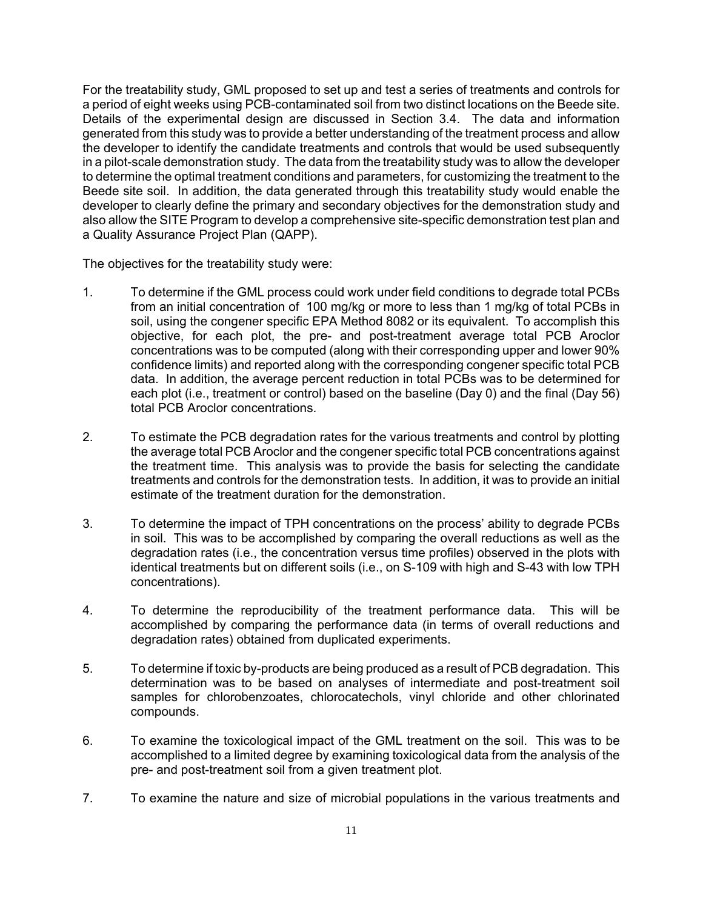For the treatability study, GML proposed to set up and test a series of treatments and controls for a period of eight weeks using PCB-contaminated soil from two distinct locations on the Beede site. Details of the experimental design are discussed in Section 3.4. The data and information generated from this study was to provide a better understanding of the treatment process and allow the developer to identify the candidate treatments and controls that would be used subsequently in a pilot-scale demonstration study. The data from the treatability study was to allow the developer to determine the optimal treatment conditions and parameters, for customizing the treatment to the Beede site soil. In addition, the data generated through this treatability study would enable the developer to clearly define the primary and secondary objectives for the demonstration study and also allow the SITE Program to develop a comprehensive site-specific demonstration test plan and a Quality Assurance Project Plan (QAPP).

The objectives for the treatability study were:

- 1. To determine if the GML process could work under field conditions to degrade total PCBs from an initial concentration of 100 mg/kg or more to less than 1 mg/kg of total PCBs in soil, using the congener specific EPA Method 8082 or its equivalent. To accomplish this objective, for each plot, the pre- and post-treatment average total PCB Aroclor concentrations was to be computed (along with their corresponding upper and lower 90% confidence limits) and reported along with the corresponding congener specific total PCB data. In addition, the average percent reduction in total PCBs was to be determined for each plot (i.e., treatment or control) based on the baseline (Day 0) and the final (Day 56) total PCB Aroclor concentrations.
- 2. To estimate the PCB degradation rates for the various treatments and control by plotting the average total PCB Aroclor and the congener specific total PCB concentrations against the treatment time. This analysis was to provide the basis for selecting the candidate treatments and controls for the demonstration tests. In addition, it was to provide an initial estimate of the treatment duration for the demonstration.
- 3. To determine the impact of TPH concentrations on the process' ability to degrade PCBs in soil. This was to be accomplished by comparing the overall reductions as well as the degradation rates (i.e., the concentration versus time profiles) observed in the plots with identical treatments but on different soils (i.e., on S-109 with high and S-43 with low TPH concentrations).
- 4. To determine the reproducibility of the treatment performance data. This will be accomplished by comparing the performance data (in terms of overall reductions and degradation rates) obtained from duplicated experiments.
- 5. To determine if toxic by-products are being produced as a result of PCB degradation. This determination was to be based on analyses of intermediate and post-treatment soil samples for chlorobenzoates, chlorocatechols, vinyl chloride and other chlorinated compounds.
- 6. To examine the toxicological impact of the GML treatment on the soil. This was to be accomplished to a limited degree by examining toxicological data from the analysis of the pre- and post-treatment soil from a given treatment plot.
- 7. To examine the nature and size of microbial populations in the various treatments and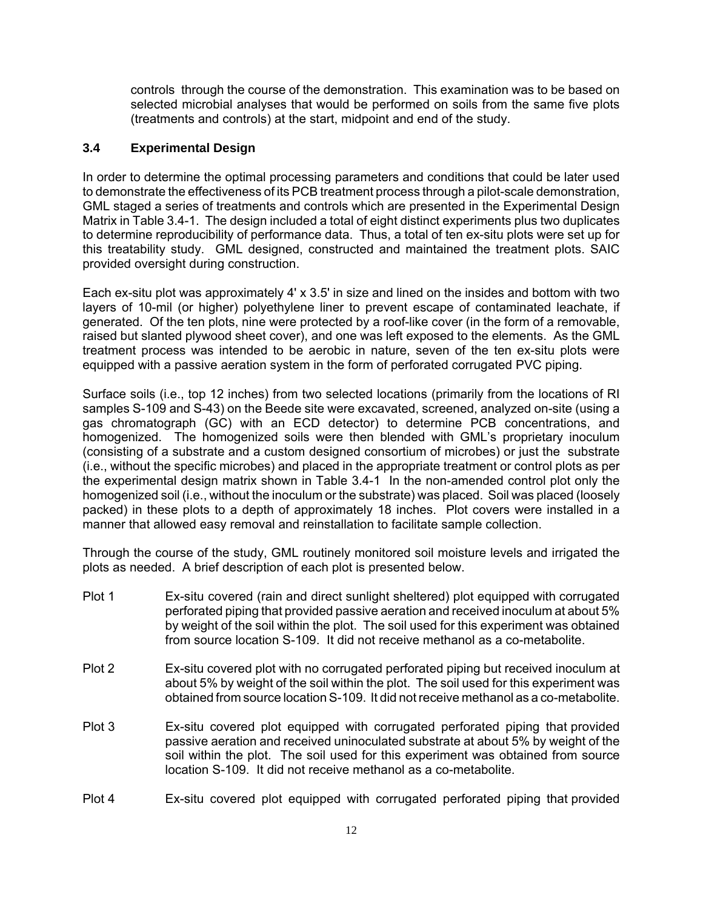controls through the course of the demonstration. This examination was to be based on selected microbial analyses that would be performed on soils from the same five plots (treatments and controls) at the start, midpoint and end of the study.

#### **3.4 Experimental Design**

In order to determine the optimal processing parameters and conditions that could be later used to demonstrate the effectiveness of its PCB treatment process through a pilot-scale demonstration, GML staged a series of treatments and controls which are presented in the Experimental Design Matrix in Table 3.4-1. The design included a total of eight distinct experiments plus two duplicates to determine reproducibility of performance data. Thus, a total of ten ex-situ plots were set up for this treatability study. GML designed, constructed and maintained the treatment plots. SAIC provided oversight during construction.

Each ex-situ plot was approximately 4' x 3.5' in size and lined on the insides and bottom with two layers of 10-mil (or higher) polyethylene liner to prevent escape of contaminated leachate, if generated. Of the ten plots, nine were protected by a roof-like cover (in the form of a removable, raised but slanted plywood sheet cover), and one was left exposed to the elements. As the GML treatment process was intended to be aerobic in nature, seven of the ten ex-situ plots were equipped with a passive aeration system in the form of perforated corrugated PVC piping.

Surface soils (i.e., top 12 inches) from two selected locations (primarily from the locations of RI samples S-109 and S-43) on the Beede site were excavated, screened, analyzed on-site (using a gas chromatograph (GC) with an ECD detector) to determine PCB concentrations, and homogenized. The homogenized soils were then blended with GML's proprietary inoculum (consisting of a substrate and a custom designed consortium of microbes) or just the substrate (i.e., without the specific microbes) and placed in the appropriate treatment or control plots as per the experimental design matrix shown in Table 3.4-1 In the non-amended control plot only the homogenized soil (i.e., without the inoculum or the substrate) was placed. Soil was placed (loosely packed) in these plots to a depth of approximately 18 inches. Plot covers were installed in a manner that allowed easy removal and reinstallation to facilitate sample collection.

Through the course of the study, GML routinely monitored soil moisture levels and irrigated the plots as needed. A brief description of each plot is presented below.

- Plot 1 Ex-situ covered (rain and direct sunlight sheltered) plot equipped with corrugated perforated piping that provided passive aeration and received inoculum at about 5% by weight of the soil within the plot. The soil used for this experiment was obtained from source location S-109. It did not receive methanol as a co-metabolite.
- Plot 2 Ex-situ covered plot with no corrugated perforated piping but received inoculum at about 5% by weight of the soil within the plot. The soil used for this experiment was obtained from source location S-109. It did not receive methanol as a co-metabolite.
- Plot 3 Ex-situ covered plot equipped with corrugated perforated piping that provided passive aeration and received uninoculated substrate at about 5% by weight of the soil within the plot. The soil used for this experiment was obtained from source location S-109. It did not receive methanol as a co-metabolite.
- Plot 4 Ex-situ covered plot equipped with corrugated perforated piping that provided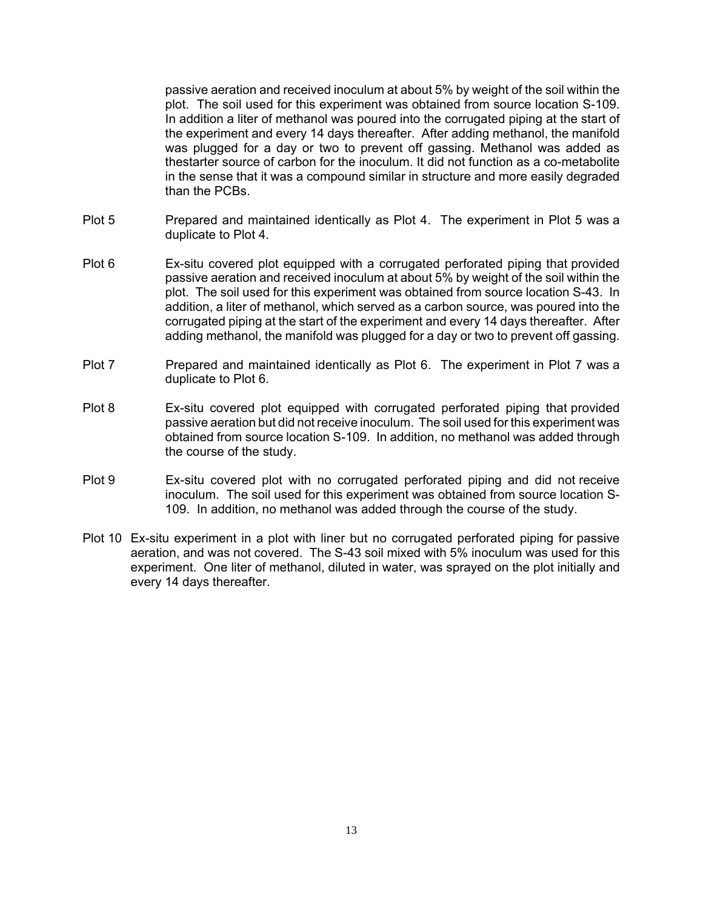passive aeration and received inoculum at about 5% by weight of the soil within the plot. The soil used for this experiment was obtained from source location S-109. In addition a liter of methanol was poured into the corrugated piping at the start of the experiment and every 14 days thereafter. After adding methanol, the manifold was plugged for a day or two to prevent off gassing. Methanol was added as thestarter source of carbon for the inoculum. It did not function as a co-metabolite in the sense that it was a compound similar in structure and more easily degraded than the PCBs.

- Plot 5 Prepared and maintained identically as Plot 4. The experiment in Plot 5 was a duplicate to Plot 4.
- Plot 6 Ex-situ covered plot equipped with a corrugated perforated piping that provided passive aeration and received inoculum at about 5% by weight of the soil within the plot. The soil used for this experiment was obtained from source location S-43. In addition, a liter of methanol, which served as a carbon source, was poured into the corrugated piping at the start of the experiment and every 14 days thereafter. After adding methanol, the manifold was plugged for a day or two to prevent off gassing.
- Plot 7 Prepared and maintained identically as Plot 6. The experiment in Plot 7 was a duplicate to Plot 6.
- Plot 8 Ex-situ covered plot equipped with corrugated perforated piping that provided passive aeration but did not receive inoculum. The soil used for this experiment was obtained from source location S-109. In addition, no methanol was added through the course of the study.
- Plot 9 Ex-situ covered plot with no corrugated perforated piping and did not receive inoculum. The soil used for this experiment was obtained from source location S-109. In addition, no methanol was added through the course of the study.
- Plot 10 Ex-situ experiment in a plot with liner but no corrugated perforated piping for passive aeration, and was not covered. The S-43 soil mixed with 5% inoculum was used for this experiment. One liter of methanol, diluted in water, was sprayed on the plot initially and every 14 days thereafter.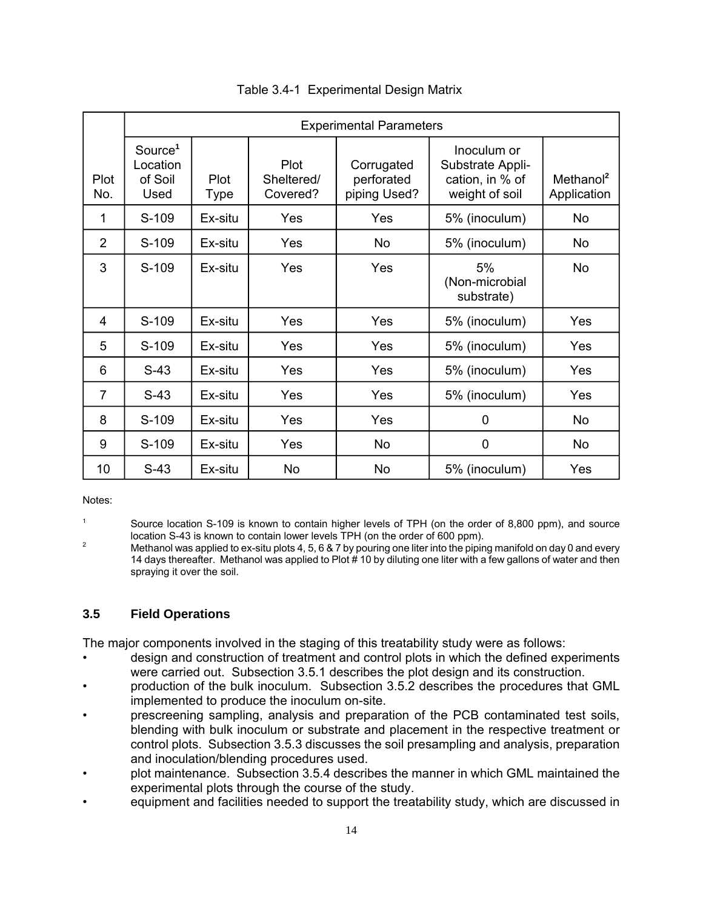|                |                                                    |              |                                | <b>Experimental Parameters</b>           |                                                                      |                                      |
|----------------|----------------------------------------------------|--------------|--------------------------------|------------------------------------------|----------------------------------------------------------------------|--------------------------------------|
| Plot<br>No.    | Source <sup>1</sup><br>Location<br>of Soil<br>Used | Plot<br>Type | Plot<br>Sheltered/<br>Covered? | Corrugated<br>perforated<br>piping Used? | Inoculum or<br>Substrate Appli-<br>cation, in % of<br>weight of soil | Methanol <sup>2</sup><br>Application |
| 1              | S-109                                              | Ex-situ      | Yes                            | Yes                                      | 5% (inoculum)                                                        | No                                   |
| $\overline{2}$ | S-109                                              | Ex-situ      | Yes                            | No                                       | 5% (inoculum)                                                        | No                                   |
| 3              | S-109                                              | Ex-situ      | Yes                            | Yes                                      | 5%<br>(Non-microbial<br>substrate)                                   | No                                   |
| 4              | S-109                                              | Ex-situ      | Yes                            | Yes                                      | 5% (inoculum)                                                        | Yes                                  |
| 5              | S-109                                              | Ex-situ      | Yes                            | Yes                                      | 5% (inoculum)                                                        | Yes                                  |
| 6              | $S-43$                                             | Ex-situ      | Yes                            | Yes                                      | 5% (inoculum)                                                        | Yes                                  |
| $\overline{7}$ | $S-43$                                             | Ex-situ      | Yes                            | Yes                                      | 5% (inoculum)                                                        | Yes                                  |
| 8              | S-109                                              | Ex-situ      | Yes                            | Yes                                      | 0                                                                    | <b>No</b>                            |
| 9              | S-109                                              | Ex-situ      | Yes                            | <b>No</b>                                | 0                                                                    | <b>No</b>                            |
| 10             | $S-43$                                             | Ex-situ      | <b>No</b>                      | <b>No</b>                                | 5% (inoculum)                                                        | Yes                                  |

#### Table 3.4-1 Experimental Design Matrix

Notes:

Source location S-109 is known to contain higher levels of TPH (on the order of 8,800 ppm), and source location S-43 is known to contain lower levels TPH (on the order of 600 ppm).

<sup>2</sup> Methanol was applied to ex-situ plots 4, 5, 6 & 7 by pouring one liter into the piping manifold on day 0 and every 14 days thereafter. Methanol was applied to Plot # 10 by diluting one liter with a few gallons of water and then spraying it over the soil.

# **3.5 Field Operations**

The major components involved in the staging of this treatability study were as follows:

- design and construction of treatment and control plots in which the defined experiments were carried out. Subsection 3.5.1 describes the plot design and its construction.
- production of the bulk inoculum. Subsection 3.5.2 describes the procedures that GML implemented to produce the inoculum on-site.
- prescreening sampling, analysis and preparation of the PCB contaminated test soils, blending with bulk inoculum or substrate and placement in the respective treatment or control plots. Subsection 3.5.3 discusses the soil presampling and analysis, preparation and inoculation/blending procedures used.
- plot maintenance. Subsection 3.5.4 describes the manner in which GML maintained the experimental plots through the course of the study.
- equipment and facilities needed to support the treatability study, which are discussed in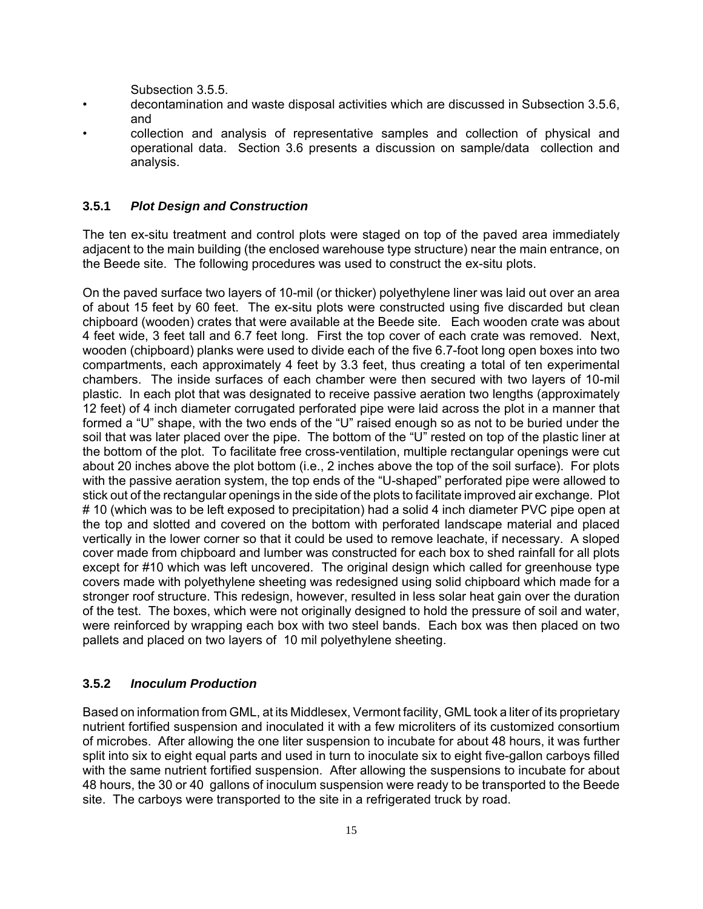Subsection 3.5.5.

- decontamination and waste disposal activities which are discussed in Subsection 3.5.6, and
- collection and analysis of representative samples and collection of physical and operational data. Section 3.6 presents a discussion on sample/data collection and analysis.

### **3.5.1** *Plot Design and Construction*

The ten ex-situ treatment and control plots were staged on top of the paved area immediately adjacent to the main building (the enclosed warehouse type structure) near the main entrance, on the Beede site. The following procedures was used to construct the ex-situ plots.

On the paved surface two layers of 10-mil (or thicker) polyethylene liner was laid out over an area of about 15 feet by 60 feet. The ex-situ plots were constructed using five discarded but clean chipboard (wooden) crates that were available at the Beede site. Each wooden crate was about 4 feet wide, 3 feet tall and 6.7 feet long. First the top cover of each crate was removed. Next, wooden (chipboard) planks were used to divide each of the five 6.7-foot long open boxes into two compartments, each approximately 4 feet by 3.3 feet, thus creating a total of ten experimental chambers. The inside surfaces of each chamber were then secured with two layers of 10-mil plastic. In each plot that was designated to receive passive aeration two lengths (approximately 12 feet) of 4 inch diameter corrugated perforated pipe were laid across the plot in a manner that formed a "U" shape, with the two ends of the "U" raised enough so as not to be buried under the soil that was later placed over the pipe. The bottom of the "U" rested on top of the plastic liner at the bottom of the plot. To facilitate free cross-ventilation, multiple rectangular openings were cut about 20 inches above the plot bottom (i.e., 2 inches above the top of the soil surface). For plots with the passive aeration system, the top ends of the "U-shaped" perforated pipe were allowed to stick out of the rectangular openings in the side of the plots to facilitate improved air exchange. Plot # 10 (which was to be left exposed to precipitation) had a solid 4 inch diameter PVC pipe open at the top and slotted and covered on the bottom with perforated landscape material and placed vertically in the lower corner so that it could be used to remove leachate, if necessary. A sloped cover made from chipboard and lumber was constructed for each box to shed rainfall for all plots except for #10 which was left uncovered. The original design which called for greenhouse type covers made with polyethylene sheeting was redesigned using solid chipboard which made for a stronger roof structure. This redesign, however, resulted in less solar heat gain over the duration of the test. The boxes, which were not originally designed to hold the pressure of soil and water, were reinforced by wrapping each box with two steel bands. Each box was then placed on two pallets and placed on two layers of 10 mil polyethylene sheeting.

#### **3.5.2** *Inoculum Production*

Based on information from GML, at its Middlesex, Vermont facility, GML took a liter of its proprietary nutrient fortified suspension and inoculated it with a few microliters of its customized consortium of microbes. After allowing the one liter suspension to incubate for about 48 hours, it was further split into six to eight equal parts and used in turn to inoculate six to eight five-gallon carboys filled with the same nutrient fortified suspension. After allowing the suspensions to incubate for about 48 hours, the 30 or 40 gallons of inoculum suspension were ready to be transported to the Beede site. The carboys were transported to the site in a refrigerated truck by road.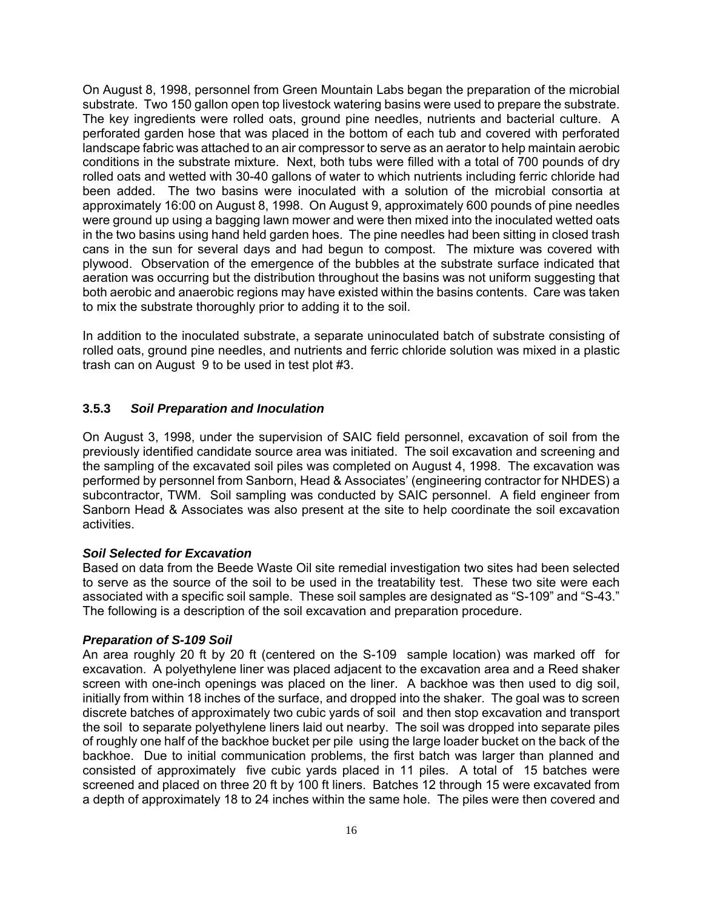On August 8, 1998, personnel from Green Mountain Labs began the preparation of the microbial substrate. Two 150 gallon open top livestock watering basins were used to prepare the substrate. The key ingredients were rolled oats, ground pine needles, nutrients and bacterial culture. A perforated garden hose that was placed in the bottom of each tub and covered with perforated landscape fabric was attached to an air compressor to serve as an aerator to help maintain aerobic conditions in the substrate mixture. Next, both tubs were filled with a total of 700 pounds of dry rolled oats and wetted with 30-40 gallons of water to which nutrients including ferric chloride had been added. The two basins were inoculated with a solution of the microbial consortia at approximately 16:00 on August 8, 1998. On August 9, approximately 600 pounds of pine needles were ground up using a bagging lawn mower and were then mixed into the inoculated wetted oats in the two basins using hand held garden hoes. The pine needles had been sitting in closed trash cans in the sun for several days and had begun to compost. The mixture was covered with plywood. Observation of the emergence of the bubbles at the substrate surface indicated that aeration was occurring but the distribution throughout the basins was not uniform suggesting that both aerobic and anaerobic regions may have existed within the basins contents. Care was taken to mix the substrate thoroughly prior to adding it to the soil.

In addition to the inoculated substrate, a separate uninoculated batch of substrate consisting of rolled oats, ground pine needles, and nutrients and ferric chloride solution was mixed in a plastic trash can on August 9 to be used in test plot #3.

# **3.5.3** *Soil Preparation and Inoculation*

On August 3, 1998, under the supervision of SAIC field personnel, excavation of soil from the previously identified candidate source area was initiated. The soil excavation and screening and the sampling of the excavated soil piles was completed on August 4, 1998. The excavation was performed by personnel from Sanborn, Head & Associates' (engineering contractor for NHDES) a subcontractor, TWM. Soil sampling was conducted by SAIC personnel. A field engineer from Sanborn Head & Associates was also present at the site to help coordinate the soil excavation activities.

#### *Soil Selected for Excavation*

Based on data from the Beede Waste Oil site remedial investigation two sites had been selected to serve as the source of the soil to be used in the treatability test. These two site were each associated with a specific soil sample. These soil samples are designated as "S-109" and "S-43." The following is a description of the soil excavation and preparation procedure.

#### *Preparation of S-109 Soil*

An area roughly 20 ft by 20 ft (centered on the S-109 sample location) was marked off for excavation. A polyethylene liner was placed adjacent to the excavation area and a Reed shaker screen with one-inch openings was placed on the liner. A backhoe was then used to dig soil, initially from within 18 inches of the surface, and dropped into the shaker. The goal was to screen discrete batches of approximately two cubic yards of soil and then stop excavation and transport the soil to separate polyethylene liners laid out nearby. The soil was dropped into separate piles of roughly one half of the backhoe bucket per pile using the large loader bucket on the back of the backhoe. Due to initial communication problems, the first batch was larger than planned and consisted of approximately five cubic yards placed in 11 piles. A total of 15 batches were screened and placed on three 20 ft by 100 ft liners. Batches 12 through 15 were excavated from a depth of approximately 18 to 24 inches within the same hole. The piles were then covered and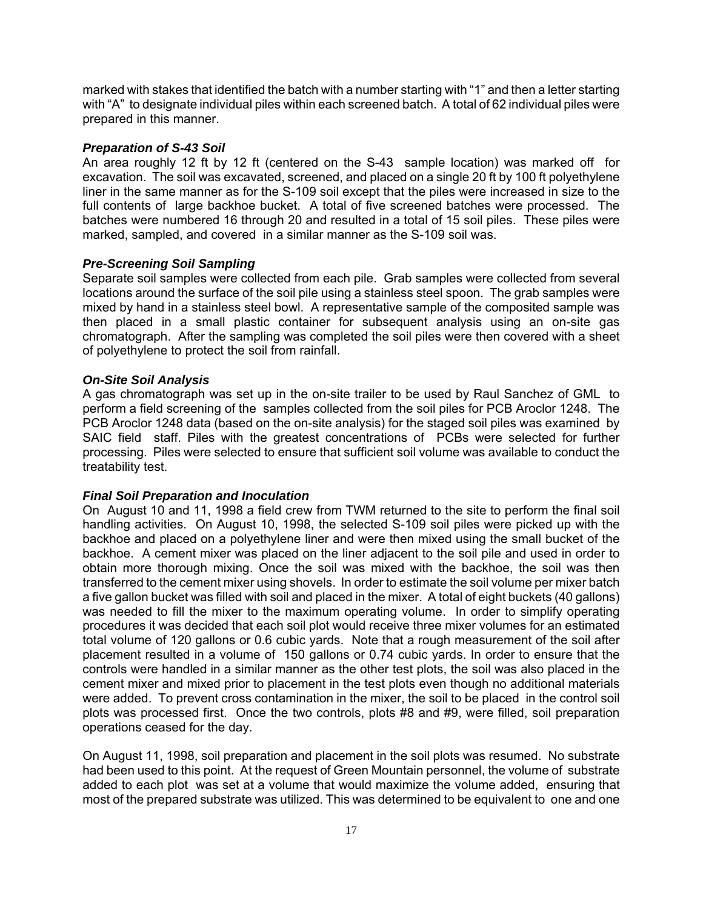marked with stakes that identified the batch with a number starting with "1" and then a letter starting with "A" to designate individual piles within each screened batch. A total of 62 individual piles were prepared in this manner.

#### *Preparation of S-43 Soil*

An area roughly 12 ft by 12 ft (centered on the S-43 sample location) was marked off for excavation. The soil was excavated, screened, and placed on a single 20 ft by 100 ft polyethylene liner in the same manner as for the S-109 soil except that the piles were increased in size to the full contents of large backhoe bucket. A total of five screened batches were processed. The batches were numbered 16 through 20 and resulted in a total of 15 soil piles. These piles were marked, sampled, and covered in a similar manner as the S-109 soil was.

#### *Pre-Screening Soil Sampling*

Separate soil samples were collected from each pile. Grab samples were collected from several locations around the surface of the soil pile using a stainless steel spoon. The grab samples were mixed by hand in a stainless steel bowl. A representative sample of the composited sample was then placed in a small plastic container for subsequent analysis using an on-site gas chromatograph. After the sampling was completed the soil piles were then covered with a sheet of polyethylene to protect the soil from rainfall.

#### *On-Site Soil Analysis*

A gas chromatograph was set up in the on-site trailer to be used by Raul Sanchez of GML to perform a field screening of the samples collected from the soil piles for PCB Aroclor 1248. The PCB Aroclor 1248 data (based on the on-site analysis) for the staged soil piles was examined by SAIC field staff. Piles with the greatest concentrations of PCBs were selected for further processing. Piles were selected to ensure that sufficient soil volume was available to conduct the treatability test.

#### *Final Soil Preparation and Inoculation*

On August 10 and 11, 1998 a field crew from TWM returned to the site to perform the final soil handling activities. On August 10, 1998, the selected S-109 soil piles were picked up with the backhoe and placed on a polyethylene liner and were then mixed using the small bucket of the backhoe. A cement mixer was placed on the liner adjacent to the soil pile and used in order to obtain more thorough mixing. Once the soil was mixed with the backhoe, the soil was then transferred to the cement mixer using shovels. In order to estimate the soil volume per mixer batch a five gallon bucket was filled with soil and placed in the mixer. A total of eight buckets (40 gallons) was needed to fill the mixer to the maximum operating volume. In order to simplify operating procedures it was decided that each soil plot would receive three mixer volumes for an estimated total volume of 120 gallons or 0.6 cubic yards. Note that a rough measurement of the soil after placement resulted in a volume of 150 gallons or 0.74 cubic yards. In order to ensure that the controls were handled in a similar manner as the other test plots, the soil was also placed in the cement mixer and mixed prior to placement in the test plots even though no additional materials were added. To prevent cross contamination in the mixer, the soil to be placed in the control soil plots was processed first. Once the two controls, plots #8 and #9, were filled, soil preparation operations ceased for the day.

On August 11, 1998, soil preparation and placement in the soil plots was resumed. No substrate had been used to this point. At the request of Green Mountain personnel, the volume of substrate added to each plot was set at a volume that would maximize the volume added, ensuring that most of the prepared substrate was utilized. This was determined to be equivalent to one and one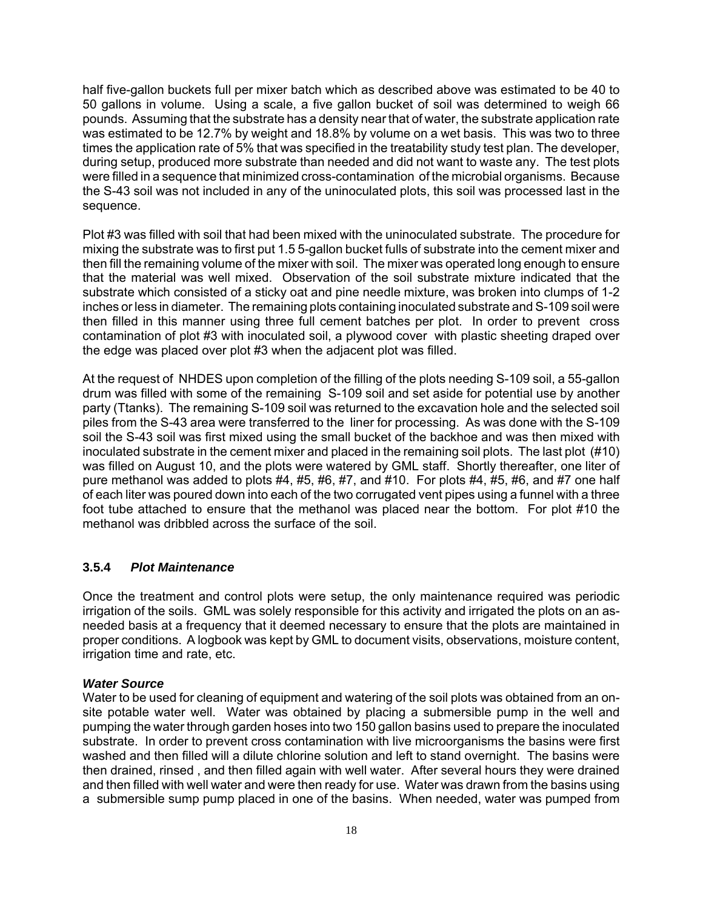half five-gallon buckets full per mixer batch which as described above was estimated to be 40 to 50 gallons in volume. Using a scale, a five gallon bucket of soil was determined to weigh 66 pounds. Assuming that the substrate has a density near that of water, the substrate application rate was estimated to be 12.7% by weight and 18.8% by volume on a wet basis. This was two to three times the application rate of 5% that was specified in the treatability study test plan. The developer, during setup, produced more substrate than needed and did not want to waste any. The test plots were filled in a sequence that minimized cross-contamination of the microbial organisms. Because the S-43 soil was not included in any of the uninoculated plots, this soil was processed last in the sequence.

Plot #3 was filled with soil that had been mixed with the uninoculated substrate. The procedure for mixing the substrate was to first put 1.5 5-gallon bucket fulls of substrate into the cement mixer and then fill the remaining volume of the mixer with soil. The mixer was operated long enough to ensure that the material was well mixed. Observation of the soil substrate mixture indicated that the substrate which consisted of a sticky oat and pine needle mixture, was broken into clumps of 1-2 inches or less in diameter. The remaining plots containing inoculated substrate and S-109 soil were then filled in this manner using three full cement batches per plot. In order to prevent cross contamination of plot #3 with inoculated soil, a plywood cover with plastic sheeting draped over the edge was placed over plot #3 when the adjacent plot was filled.

At the request of NHDES upon completion of the filling of the plots needing S-109 soil, a 55-gallon drum was filled with some of the remaining S-109 soil and set aside for potential use by another party (Ttanks). The remaining S-109 soil was returned to the excavation hole and the selected soil piles from the S-43 area were transferred to the liner for processing. As was done with the S-109 soil the S-43 soil was first mixed using the small bucket of the backhoe and was then mixed with inoculated substrate in the cement mixer and placed in the remaining soil plots. The last plot (#10) was filled on August 10, and the plots were watered by GML staff. Shortly thereafter, one liter of pure methanol was added to plots #4, #5, #6, #7, and #10. For plots #4, #5, #6, and #7 one half of each liter was poured down into each of the two corrugated vent pipes using a funnel with a three foot tube attached to ensure that the methanol was placed near the bottom. For plot #10 the methanol was dribbled across the surface of the soil.

# **3.5.4** *Plot Maintenance*

Once the treatment and control plots were setup, the only maintenance required was periodic irrigation of the soils. GML was solely responsible for this activity and irrigated the plots on an asneeded basis at a frequency that it deemed necessary to ensure that the plots are maintained in proper conditions. A logbook was kept by GML to document visits, observations, moisture content, irrigation time and rate, etc.

#### *Water Source*

Water to be used for cleaning of equipment and watering of the soil plots was obtained from an onsite potable water well. Water was obtained by placing a submersible pump in the well and pumping the water through garden hoses into two 150 gallon basins used to prepare the inoculated substrate. In order to prevent cross contamination with live microorganisms the basins were first washed and then filled will a dilute chlorine solution and left to stand overnight. The basins were then drained, rinsed , and then filled again with well water. After several hours they were drained and then filled with well water and were then ready for use. Water was drawn from the basins using a submersible sump pump placed in one of the basins. When needed, water was pumped from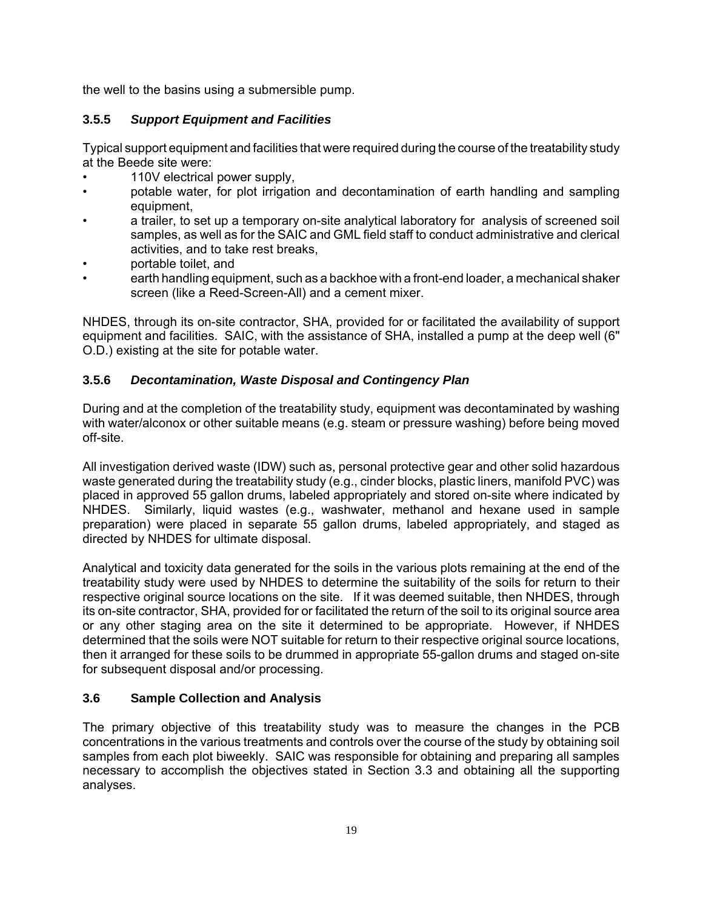the well to the basins using a submersible pump.

# **3.5.5** *Support Equipment and Facilities*

Typical support equipment and facilities that were required during the course of the treatability study at the Beede site were:

- 110V electrical power supply,
- potable water, for plot irrigation and decontamination of earth handling and sampling equipment,
- a trailer, to set up a temporary on-site analytical laboratory for analysis of screened soil samples, as well as for the SAIC and GML field staff to conduct administrative and clerical activities, and to take rest breaks,
- portable toilet, and
- earth handling equipment, such as a backhoe with a front-end loader, a mechanical shaker screen (like a Reed-Screen-All) and a cement mixer.

NHDES, through its on-site contractor, SHA, provided for or facilitated the availability of support equipment and facilities. SAIC, with the assistance of SHA, installed a pump at the deep well (6" O.D.) existing at the site for potable water.

# **3.5.6** *Decontamination, Waste Disposal and Contingency Plan*

During and at the completion of the treatability study, equipment was decontaminated by washing with water/alconox or other suitable means (e.g. steam or pressure washing) before being moved off-site.

All investigation derived waste (IDW) such as, personal protective gear and other solid hazardous waste generated during the treatability study (e.g., cinder blocks, plastic liners, manifold PVC) was placed in approved 55 gallon drums, labeled appropriately and stored on-site where indicated by NHDES. Similarly, liquid wastes (e.g., washwater, methanol and hexane used in sample preparation) were placed in separate 55 gallon drums, labeled appropriately, and staged as directed by NHDES for ultimate disposal.

Analytical and toxicity data generated for the soils in the various plots remaining at the end of the treatability study were used by NHDES to determine the suitability of the soils for return to their respective original source locations on the site. If it was deemed suitable, then NHDES, through its on-site contractor, SHA, provided for or facilitated the return of the soil to its original source area or any other staging area on the site it determined to be appropriate. However, if NHDES determined that the soils were NOT suitable for return to their respective original source locations, then it arranged for these soils to be drummed in appropriate 55-gallon drums and staged on-site for subsequent disposal and/or processing.

# **3.6 Sample Collection and Analysis**

The primary objective of this treatability study was to measure the changes in the PCB concentrations in the various treatments and controls over the course of the study by obtaining soil samples from each plot biweekly. SAIC was responsible for obtaining and preparing all samples necessary to accomplish the objectives stated in Section 3.3 and obtaining all the supporting analyses.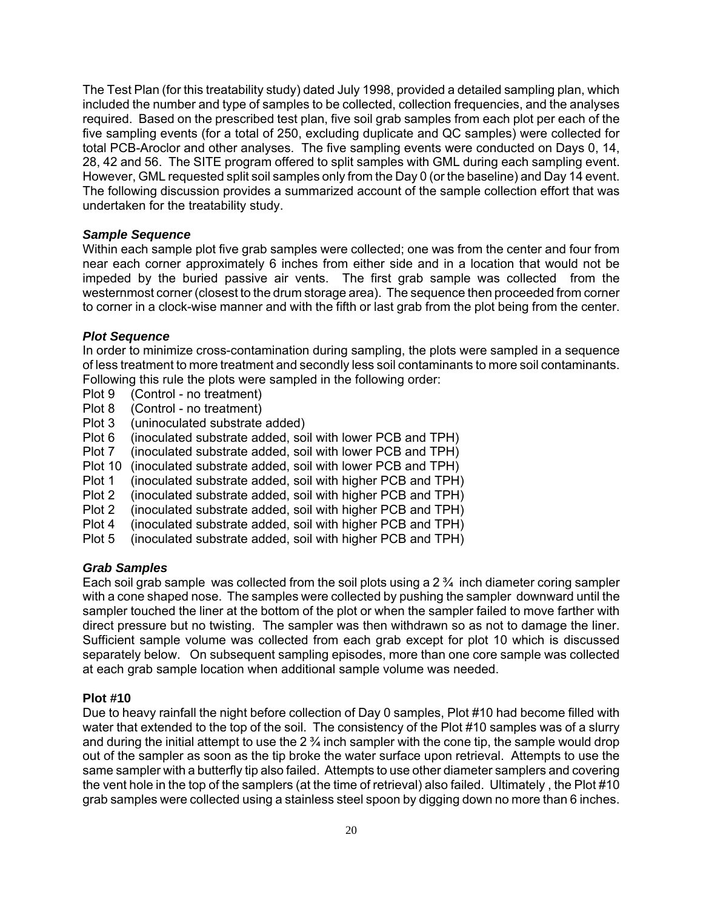The Test Plan (for this treatability study) dated July 1998, provided a detailed sampling plan, which included the number and type of samples to be collected, collection frequencies, and the analyses required. Based on the prescribed test plan, five soil grab samples from each plot per each of the five sampling events (for a total of 250, excluding duplicate and QC samples) were collected for total PCB-Aroclor and other analyses. The five sampling events were conducted on Days 0, 14, 28, 42 and 56. The SITE program offered to split samples with GML during each sampling event. However, GML requested split soil samples only from the Day 0 (or the baseline) and Day 14 event. The following discussion provides a summarized account of the sample collection effort that was undertaken for the treatability study.

#### *Sample Sequence*

Within each sample plot five grab samples were collected; one was from the center and four from near each corner approximately 6 inches from either side and in a location that would not be impeded by the buried passive air vents. The first grab sample was collected from the westernmost corner (closest to the drum storage area). The sequence then proceeded from corner to corner in a clock-wise manner and with the fifth or last grab from the plot being from the center.

#### *Plot Sequence*

In order to minimize cross-contamination during sampling, the plots were sampled in a sequence of less treatment to more treatment and secondly less soil contaminants to more soil contaminants. Following this rule the plots were sampled in the following order:

- Plot 9 (Control no treatment)
- Plot 8 (Control no treatment)<br>Plot 3 (uninoculated substrate
- Plot 3 (uninoculated substrate added)<br>Plot 6 (inoculated substrate added, soi
- (inoculated substrate added, soil with lower PCB and TPH)
- Plot 7 (inoculated substrate added, soil with lower PCB and TPH)
- Plot 10 (inoculated substrate added, soil with lower PCB and TPH)
- Plot 1 (inoculated substrate added, soil with higher PCB and TPH)
- Plot 2 (inoculated substrate added, soil with higher PCB and TPH)
- Plot 2 (inoculated substrate added, soil with higher PCB and TPH)
- Plot 4 (inoculated substrate added, soil with higher PCB and TPH)
- Plot 5 (inoculated substrate added, soil with higher PCB and TPH)

#### *Grab Samples*

Each soil grab sample was collected from the soil plots using a  $2\frac{3}{4}$  inch diameter coring sampler with a cone shaped nose. The samples were collected by pushing the sampler downward until the sampler touched the liner at the bottom of the plot or when the sampler failed to move farther with direct pressure but no twisting. The sampler was then withdrawn so as not to damage the liner. Sufficient sample volume was collected from each grab except for plot 10 which is discussed separately below. On subsequent sampling episodes, more than one core sample was collected at each grab sample location when additional sample volume was needed.

#### **Plot #10**

Due to heavy rainfall the night before collection of Day 0 samples, Plot #10 had become filled with water that extended to the top of the soil. The consistency of the Plot #10 samples was of a slurry and during the initial attempt to use the  $2\frac{3}{4}$  inch sampler with the cone tip, the sample would drop out of the sampler as soon as the tip broke the water surface upon retrieval. Attempts to use the same sampler with a butterfly tip also failed. Attempts to use other diameter samplers and covering the vent hole in the top of the samplers (at the time of retrieval) also failed. Ultimately , the Plot #10 grab samples were collected using a stainless steel spoon by digging down no more than 6 inches.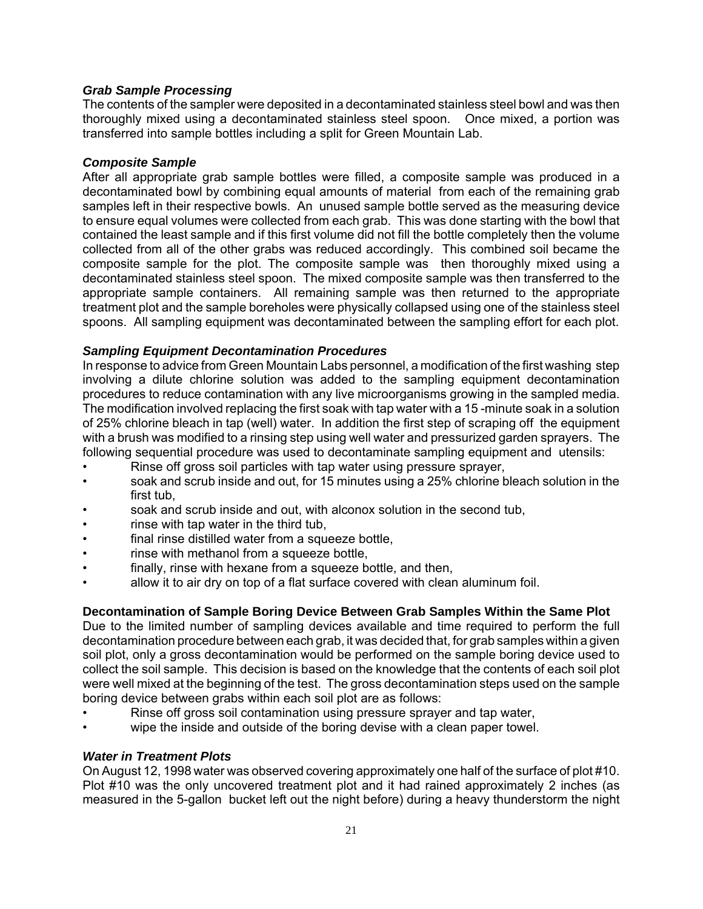### *Grab Sample Processing*

The contents of the sampler were deposited in a decontaminated stainless steel bowl and was then thoroughly mixed using a decontaminated stainless steel spoon. Once mixed, a portion was transferred into sample bottles including a split for Green Mountain Lab.

#### *Composite Sample*

After all appropriate grab sample bottles were filled, a composite sample was produced in a decontaminated bowl by combining equal amounts of material from each of the remaining grab samples left in their respective bowls. An unused sample bottle served as the measuring device to ensure equal volumes were collected from each grab. This was done starting with the bowl that contained the least sample and if this first volume did not fill the bottle completely then the volume collected from all of the other grabs was reduced accordingly. This combined soil became the composite sample for the plot. The composite sample was then thoroughly mixed using a decontaminated stainless steel spoon. The mixed composite sample was then transferred to the appropriate sample containers. All remaining sample was then returned to the appropriate treatment plot and the sample boreholes were physically collapsed using one of the stainless steel spoons. All sampling equipment was decontaminated between the sampling effort for each plot.

#### *Sampling Equipment Decontamination Procedures*

In response to advice from Green Mountain Labs personnel, a modification of the first washing step involving a dilute chlorine solution was added to the sampling equipment decontamination procedures to reduce contamination with any live microorganisms growing in the sampled media. The modification involved replacing the first soak with tap water with a 15 -minute soak in a solution of 25% chlorine bleach in tap (well) water. In addition the first step of scraping off the equipment with a brush was modified to a rinsing step using well water and pressurized garden sprayers. The following sequential procedure was used to decontaminate sampling equipment and utensils:

- Rinse off gross soil particles with tap water using pressure sprayer,
- soak and scrub inside and out, for 15 minutes using a 25% chlorine bleach solution in the first tub,
- soak and scrub inside and out, with alconox solution in the second tub,
- rinse with tap water in the third tub,
- final rinse distilled water from a squeeze bottle.
- rinse with methanol from a squeeze bottle,
- finally, rinse with hexane from a squeeze bottle, and then,
- allow it to air dry on top of a flat surface covered with clean aluminum foil.

# **Decontamination of Sample Boring Device Between Grab Samples Within the Same Plot**

Due to the limited number of sampling devices available and time required to perform the full decontamination procedure between each grab, it was decided that, for grab samples within a given soil plot, only a gross decontamination would be performed on the sample boring device used to collect the soil sample. This decision is based on the knowledge that the contents of each soil plot were well mixed at the beginning of the test. The gross decontamination steps used on the sample boring device between grabs within each soil plot are as follows:

- Rinse off gross soil contamination using pressure sprayer and tap water,
- wipe the inside and outside of the boring devise with a clean paper towel.

#### *Water in Treatment Plots*

On August 12, 1998 water was observed covering approximately one half of the surface of plot #10. Plot #10 was the only uncovered treatment plot and it had rained approximately 2 inches (as measured in the 5-gallon bucket left out the night before) during a heavy thunderstorm the night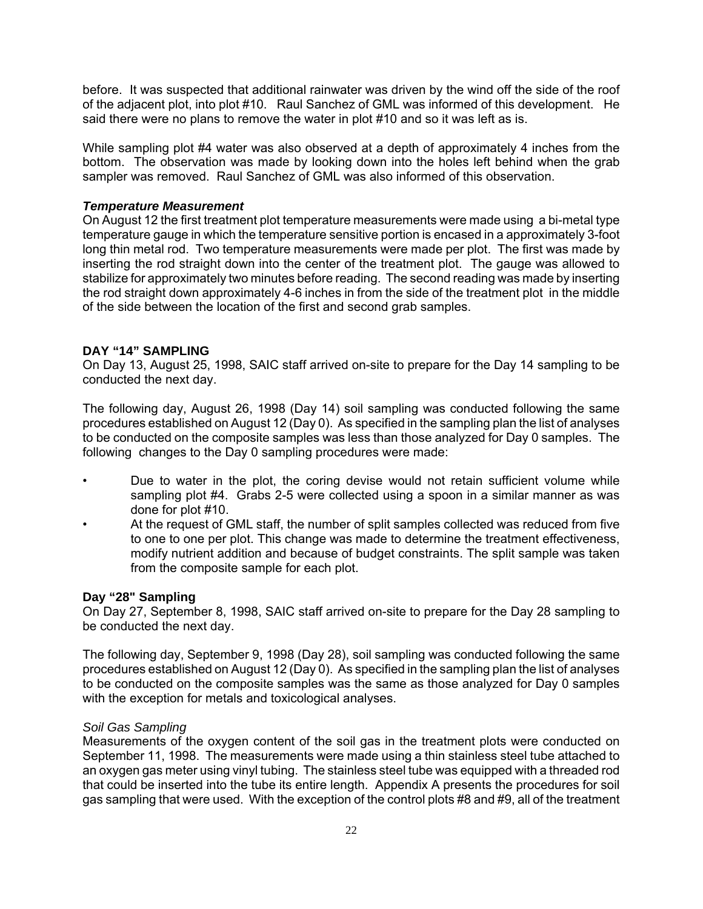before. It was suspected that additional rainwater was driven by the wind off the side of the roof of the adjacent plot, into plot #10. Raul Sanchez of GML was informed of this development. He said there were no plans to remove the water in plot #10 and so it was left as is.

While sampling plot #4 water was also observed at a depth of approximately 4 inches from the bottom. The observation was made by looking down into the holes left behind when the grab sampler was removed. Raul Sanchez of GML was also informed of this observation.

#### *Temperature Measurement*

On August 12 the first treatment plot temperature measurements were made using a bi-metal type temperature gauge in which the temperature sensitive portion is encased in a approximately 3-foot long thin metal rod. Two temperature measurements were made per plot. The first was made by inserting the rod straight down into the center of the treatment plot. The gauge was allowed to stabilize for approximately two minutes before reading. The second reading was made by inserting the rod straight down approximately 4-6 inches in from the side of the treatment plot in the middle of the side between the location of the first and second grab samples.

# **DAY "14" SAMPLING**

On Day 13, August 25, 1998, SAIC staff arrived on-site to prepare for the Day 14 sampling to be conducted the next day.

The following day, August 26, 1998 (Day 14) soil sampling was conducted following the same procedures established on August 12 (Day 0). As specified in the sampling plan the list of analyses to be conducted on the composite samples was less than those analyzed for Day 0 samples. The following changes to the Day 0 sampling procedures were made:

- Due to water in the plot, the coring devise would not retain sufficient volume while sampling plot #4. Grabs 2-5 were collected using a spoon in a similar manner as was done for plot #10.
- At the request of GML staff, the number of split samples collected was reduced from five to one to one per plot. This change was made to determine the treatment effectiveness, modify nutrient addition and because of budget constraints. The split sample was taken from the composite sample for each plot.

### **Day "28" Sampling**

On Day 27, September 8, 1998, SAIC staff arrived on-site to prepare for the Day 28 sampling to be conducted the next day.

The following day, September 9, 1998 (Day 28), soil sampling was conducted following the same procedures established on August 12 (Day 0). As specified in the sampling plan the list of analyses to be conducted on the composite samples was the same as those analyzed for Day 0 samples with the exception for metals and toxicological analyses.

#### *Soil Gas Sampling*

Measurements of the oxygen content of the soil gas in the treatment plots were conducted on September 11, 1998. The measurements were made using a thin stainless steel tube attached to an oxygen gas meter using vinyl tubing. The stainless steel tube was equipped with a threaded rod that could be inserted into the tube its entire length. Appendix A presents the procedures for soil gas sampling that were used. With the exception of the control plots #8 and #9, all of the treatment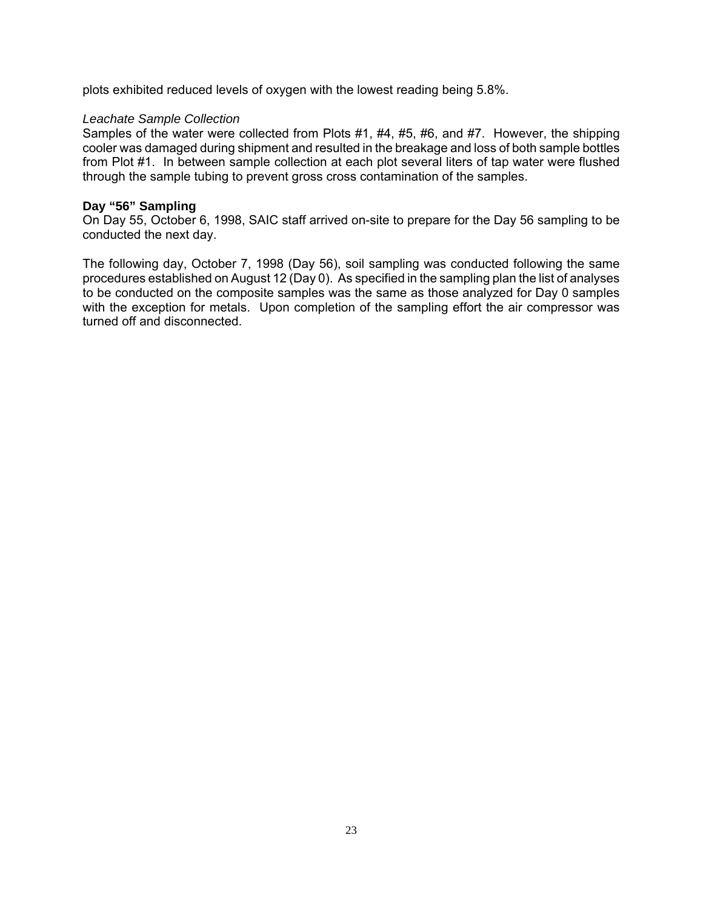plots exhibited reduced levels of oxygen with the lowest reading being 5.8%.

#### *Leachate Sample Collection*

Samples of the water were collected from Plots #1, #4, #5, #6, and #7. However, the shipping cooler was damaged during shipment and resulted in the breakage and loss of both sample bottles from Plot #1. In between sample collection at each plot several liters of tap water were flushed through the sample tubing to prevent gross cross contamination of the samples.

#### **Day "56" Sampling**

On Day 55, October 6, 1998, SAIC staff arrived on-site to prepare for the Day 56 sampling to be conducted the next day.

The following day, October 7, 1998 (Day 56), soil sampling was conducted following the same procedures established on August 12 (Day 0). As specified in the sampling plan the list of analyses to be conducted on the composite samples was the same as those analyzed for Day 0 samples with the exception for metals. Upon completion of the sampling effort the air compressor was turned off and disconnected.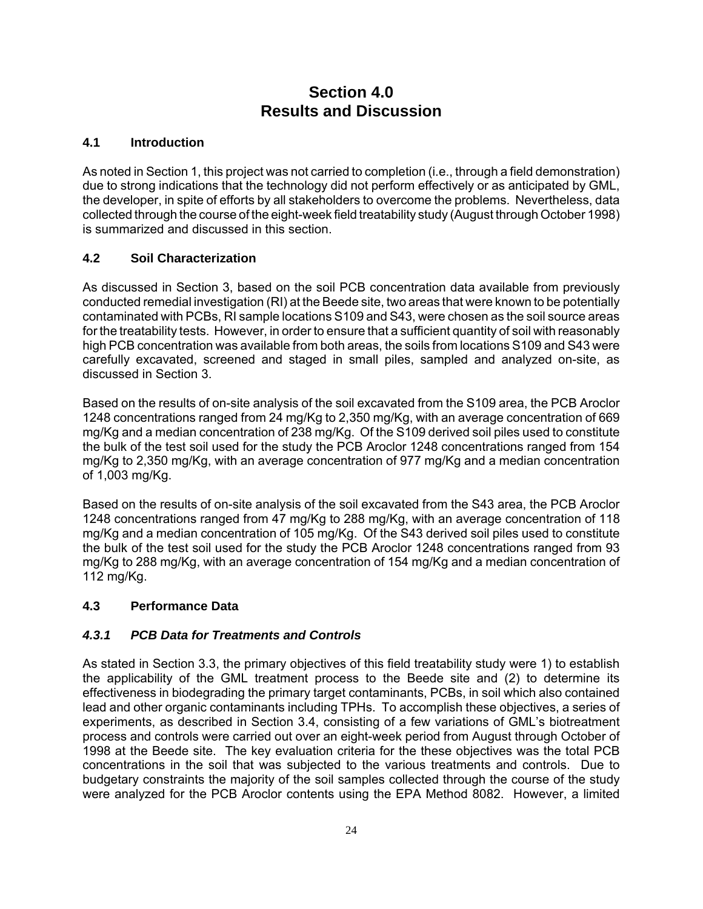# **Section 4.0 Results and Discussion**

### <span id="page-30-0"></span>**4.1 Introduction**

As noted in Section 1, this project was not carried to completion (i.e., through a field demonstration) due to strong indications that the technology did not perform effectively or as anticipated by GML, the developer, in spite of efforts by all stakeholders to overcome the problems. Nevertheless, data collected through the course of the eight-week field treatability study (August through October 1998) is summarized and discussed in this section.

#### **4.2 Soil Characterization**

As discussed in Section 3, based on the soil PCB concentration data available from previously conducted remedial investigation (RI) at the Beede site, two areas that were known to be potentially contaminated with PCBs, RI sample locations S109 and S43, were chosen as the soil source areas for the treatability tests. However, in order to ensure that a sufficient quantity of soil with reasonably high PCB concentration was available from both areas, the soils from locations S109 and S43 were carefully excavated, screened and staged in small piles, sampled and analyzed on-site, as discussed in Section 3.

Based on the results of on-site analysis of the soil excavated from the S109 area, the PCB Aroclor 1248 concentrations ranged from 24 mg/Kg to 2,350 mg/Kg, with an average concentration of 669 mg/Kg and a median concentration of 238 mg/Kg. Of the S109 derived soil piles used to constitute the bulk of the test soil used for the study the PCB Aroclor 1248 concentrations ranged from 154 mg/Kg to 2,350 mg/Kg, with an average concentration of 977 mg/Kg and a median concentration of 1,003 mg/Kg.

Based on the results of on-site analysis of the soil excavated from the S43 area, the PCB Aroclor 1248 concentrations ranged from 47 mg/Kg to 288 mg/Kg, with an average concentration of 118 mg/Kg and a median concentration of 105 mg/Kg. Of the S43 derived soil piles used to constitute the bulk of the test soil used for the study the PCB Aroclor 1248 concentrations ranged from 93 mg/Kg to 288 mg/Kg, with an average concentration of 154 mg/Kg and a median concentration of 112 mg/Kg.

#### **4.3 Performance Data**

# *4.3.1 PCB Data for Treatments and Controls*

As stated in Section 3.3, the primary objectives of this field treatability study were 1) to establish the applicability of the GML treatment process to the Beede site and (2) to determine its effectiveness in biodegrading the primary target contaminants, PCBs, in soil which also contained lead and other organic contaminants including TPHs. To accomplish these objectives, a series of experiments, as described in Section 3.4, consisting of a few variations of GML's biotreatment process and controls were carried out over an eight-week period from August through October of 1998 at the Beede site. The key evaluation criteria for the these objectives was the total PCB concentrations in the soil that was subjected to the various treatments and controls. Due to budgetary constraints the majority of the soil samples collected through the course of the study were analyzed for the PCB Aroclor contents using the EPA Method 8082. However, a limited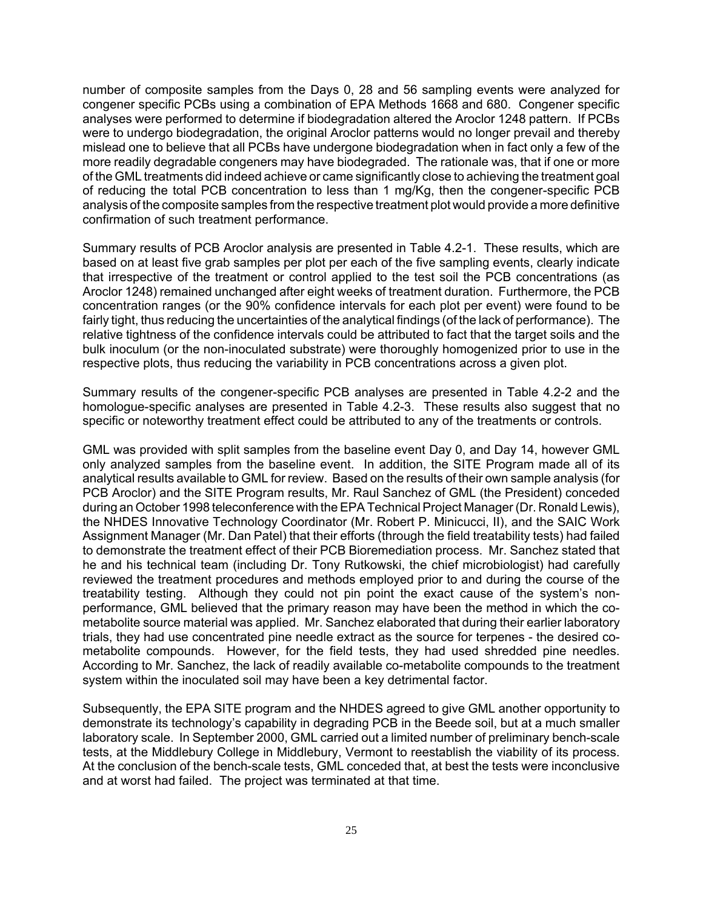number of composite samples from the Days 0, 28 and 56 sampling events were analyzed for congener specific PCBs using a combination of EPA Methods 1668 and 680. Congener specific analyses were performed to determine if biodegradation altered the Aroclor 1248 pattern. If PCBs were to undergo biodegradation, the original Aroclor patterns would no longer prevail and thereby mislead one to believe that all PCBs have undergone biodegradation when in fact only a few of the more readily degradable congeners may have biodegraded. The rationale was, that if one or more of the GML treatments did indeed achieve or came significantly close to achieving the treatment goal of reducing the total PCB concentration to less than 1 mg/Kg, then the congener-specific PCB analysis of the composite samples from the respective treatment plot would provide a more definitive confirmation of such treatment performance.

Summary results of PCB Aroclor analysis are presented in Table 4.2-1. These results, which are based on at least five grab samples per plot per each of the five sampling events, clearly indicate that irrespective of the treatment or control applied to the test soil the PCB concentrations (as Aroclor 1248) remained unchanged after eight weeks of treatment duration. Furthermore, the PCB concentration ranges (or the 90% confidence intervals for each plot per event) were found to be fairly tight, thus reducing the uncertainties of the analytical findings (of the lack of performance). The relative tightness of the confidence intervals could be attributed to fact that the target soils and the bulk inoculum (or the non-inoculated substrate) were thoroughly homogenized prior to use in the respective plots, thus reducing the variability in PCB concentrations across a given plot.

Summary results of the congener-specific PCB analyses are presented in Table 4.2-2 and the homologue-specific analyses are presented in Table 4.2-3. These results also suggest that no specific or noteworthy treatment effect could be attributed to any of the treatments or controls.

GML was provided with split samples from the baseline event Day 0, and Day 14, however GML only analyzed samples from the baseline event. In addition, the SITE Program made all of its analytical results available to GML for review. Based on the results of their own sample analysis (for PCB Aroclor) and the SITE Program results, Mr. Raul Sanchez of GML (the President) conceded during an October 1998 teleconference with the EPA Technical Project Manager (Dr. Ronald Lewis), the NHDES Innovative Technology Coordinator (Mr. Robert P. Minicucci, II), and the SAIC Work Assignment Manager (Mr. Dan Patel) that their efforts (through the field treatability tests) had failed to demonstrate the treatment effect of their PCB Bioremediation process. Mr. Sanchez stated that he and his technical team (including Dr. Tony Rutkowski, the chief microbiologist) had carefully reviewed the treatment procedures and methods employed prior to and during the course of the treatability testing. Although they could not pin point the exact cause of the system's nonperformance, GML believed that the primary reason may have been the method in which the cometabolite source material was applied. Mr. Sanchez elaborated that during their earlier laboratory trials, they had use concentrated pine needle extract as the source for terpenes - the desired cometabolite compounds. However, for the field tests, they had used shredded pine needles. According to Mr. Sanchez, the lack of readily available co-metabolite compounds to the treatment system within the inoculated soil may have been a key detrimental factor.

Subsequently, the EPA SITE program and the NHDES agreed to give GML another opportunity to demonstrate its technology's capability in degrading PCB in the Beede soil, but at a much smaller laboratory scale. In September 2000, GML carried out a limited number of preliminary bench-scale tests, at the Middlebury College in Middlebury, Vermont to reestablish the viability of its process. At the conclusion of the bench-scale tests, GML conceded that, at best the tests were inconclusive and at worst had failed. The project was terminated at that time.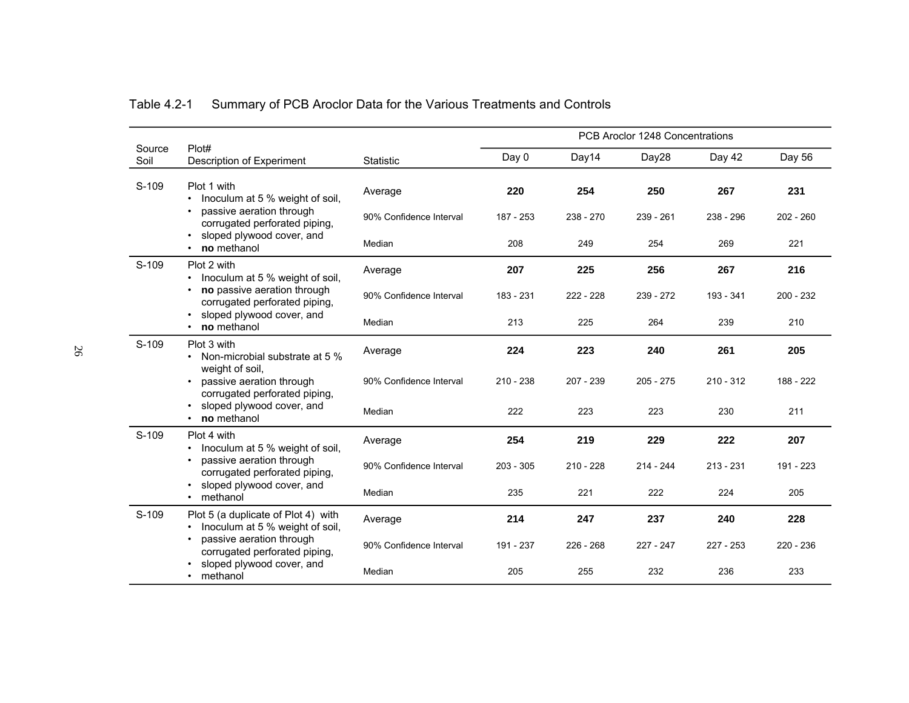|                |                                                                                     |                         |             |             | PCB Aroclor 1248 Concentrations |             |             |
|----------------|-------------------------------------------------------------------------------------|-------------------------|-------------|-------------|---------------------------------|-------------|-------------|
| Source<br>Soil | Plot#<br>Description of Experiment                                                  | <b>Statistic</b>        | Day 0       | Day14       | Day28                           | Day 42      | Day 56      |
| S-109          | Plot 1 with<br>Inoculum at 5 % weight of soil,<br>$\bullet$                         | Average                 | 220         | 254         | 250                             | 267         | 231         |
|                | passive aeration through<br>٠<br>corrugated perforated piping,                      | 90% Confidence Interval | $187 - 253$ | $238 - 270$ | $239 - 261$                     | $238 - 296$ | $202 - 260$ |
|                | sloped plywood cover, and<br>$\bullet$<br>no methanol<br>$\bullet$                  | Median                  | 208         | 249         | 254                             | 269         | 221         |
| S-109          | Plot 2 with<br>Inoculum at 5 % weight of soil,                                      | Average                 | 207         | 225         | 256                             | 267         | 216         |
|                | no passive aeration through<br>corrugated perforated piping,                        | 90% Confidence Interval | 183 - 231   | $222 - 228$ | $239 - 272$                     | 193 - 341   | $200 - 232$ |
|                | sloped plywood cover, and<br>$\bullet$<br>no methanol                               | Median                  | 213         | 225         | 264                             | 239         | 210         |
| S-109          | Plot 3 with<br>Non-microbial substrate at 5 %                                       | Average                 | 224         | 223         | 240                             | 261         | 205         |
|                | weight of soil,<br>passive aeration through<br>corrugated perforated piping,        | 90% Confidence Interval | $210 - 238$ | 207 - 239   | $205 - 275$                     | $210 - 312$ | 188 - 222   |
|                | sloped plywood cover, and<br>no methanol                                            | Median                  | 222         | 223         | 223                             | 230         | 211         |
| S-109          | Plot 4 with<br>Inoculum at 5 % weight of soil,                                      | Average                 | 254         | 219         | 229                             | 222         | 207         |
|                | passive aeration through<br>corrugated perforated piping,                           | 90% Confidence Interval | $203 - 305$ | $210 - 228$ | $214 - 244$                     | $213 - 231$ | 191 - 223   |
|                | sloped plywood cover, and<br>methanol                                               | Median                  | 235         | 221         | 222                             | 224         | 205         |
| S-109          | Plot 5 (a duplicate of Plot 4) with<br>Inoculum at 5 % weight of soil,<br>$\bullet$ | Average                 | 214         | 247         | 237                             | 240         | 228         |
|                | passive aeration through<br>$\bullet$<br>corrugated perforated piping,              | 90% Confidence Interval | 191 - 237   | $226 - 268$ | $227 - 247$                     | $227 - 253$ | $220 - 236$ |
|                | sloped plywood cover, and<br>methanol<br>$\bullet$                                  | Median                  | 205         | 255         | 232                             | 236         | 233         |

# Table 4.2-1 Summary of PCB Aroclor Data for the Various Treatments and Controls

26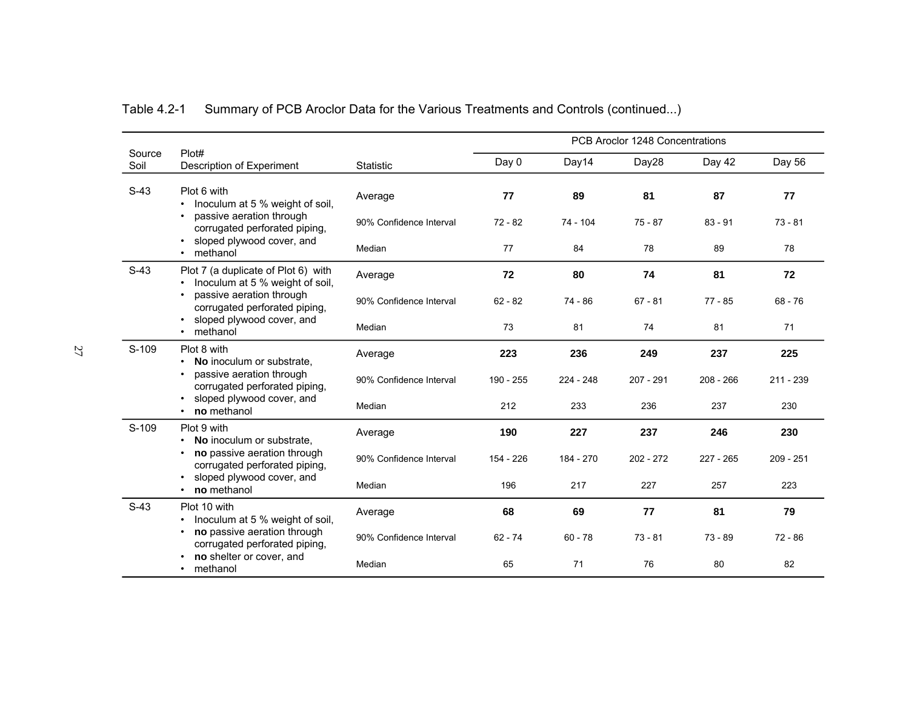|                |                                                                                                                              |                         | PCB Aroclor 1248 Concentrations |             |             |             |             |  |  |
|----------------|------------------------------------------------------------------------------------------------------------------------------|-------------------------|---------------------------------|-------------|-------------|-------------|-------------|--|--|
| Source<br>Soil | Plot#<br>Description of Experiment                                                                                           | Statistic               | Day 0                           | Day14       | Day28       | Day 42      | Day 56      |  |  |
| $S-43$         | Plot 6 with<br>Inoculum at 5 % weight of soil,<br>$\bullet$                                                                  | Average                 | 77                              | 89          | 81          | 87          | 77          |  |  |
|                | passive aeration through<br>corrugated perforated piping,                                                                    | 90% Confidence Interval | $72 - 82$                       | 74 - 104    | $75 - 87$   | $83 - 91$   | $73 - 81$   |  |  |
|                | sloped plywood cover, and<br>methanol<br>$\bullet$                                                                           | Median                  | 77                              | 84          | 78          | 89          | 78          |  |  |
| $S-43$         | Plot 7 (a duplicate of Plot 6) with<br>Inoculum at 5 % weight of soil,<br>$\bullet$                                          | Average                 | 72                              | 80          | 74          | 81          | 72          |  |  |
|                | passive aeration through<br>$\bullet$<br>corrugated perforated piping,<br>sloped plywood cover, and<br>methanol<br>$\bullet$ | 90% Confidence Interval | $62 - 82$                       | $74 - 86$   | $67 - 81$   | $77 - 85$   | $68 - 76$   |  |  |
|                |                                                                                                                              | Median                  | 73                              | 81          | 74          | 81          | 71          |  |  |
| S-109          | Plot 8 with<br>No inoculum or substrate,                                                                                     | Average                 | 223                             | 236         | 249         | 237         | 225         |  |  |
|                | passive aeration through<br>corrugated perforated piping,                                                                    | 90% Confidence Interval | 190 - 255                       | $224 - 248$ | $207 - 291$ | $208 - 266$ | $211 - 239$ |  |  |
|                | sloped plywood cover, and<br>$\bullet$<br>no methanol<br>$\bullet$                                                           | Median                  | 212                             | 233         | 236         | 237         | 230         |  |  |
| S-109          | Plot 9 with<br>No inoculum or substrate,<br>$\bullet$                                                                        | Average                 | 190                             | 227         | 237         | 246         | 230         |  |  |
|                | no passive aeration through<br>$\bullet$<br>corrugated perforated piping,                                                    | 90% Confidence Interval | 154 - 226                       | 184 - 270   | $202 - 272$ | $227 - 265$ | $209 - 251$ |  |  |
|                | sloped plywood cover, and<br>$\bullet$<br>no methanol<br>$\bullet$                                                           | Median                  | 196                             | 217         | 227         | 257         | 223         |  |  |
| $S-43$         | Plot 10 with<br>Inoculum at 5 % weight of soil,<br>$\bullet$                                                                 | Average                 | 68                              | 69          | 77          | 81          | 79          |  |  |
|                | no passive aeration through<br>$\bullet$<br>corrugated perforated piping,                                                    | 90% Confidence Interval | $62 - 74$                       | $60 - 78$   | $73 - 81$   | $73 - 89$   | $72 - 86$   |  |  |
|                | no shelter or cover, and<br>methanol<br>$\bullet$                                                                            | Median                  | 65                              | 71          | 76          | 80          | 82          |  |  |

Table 4.2-1 Summary of PCB Aroclor Data for the Various Treatments and Controls (continued...)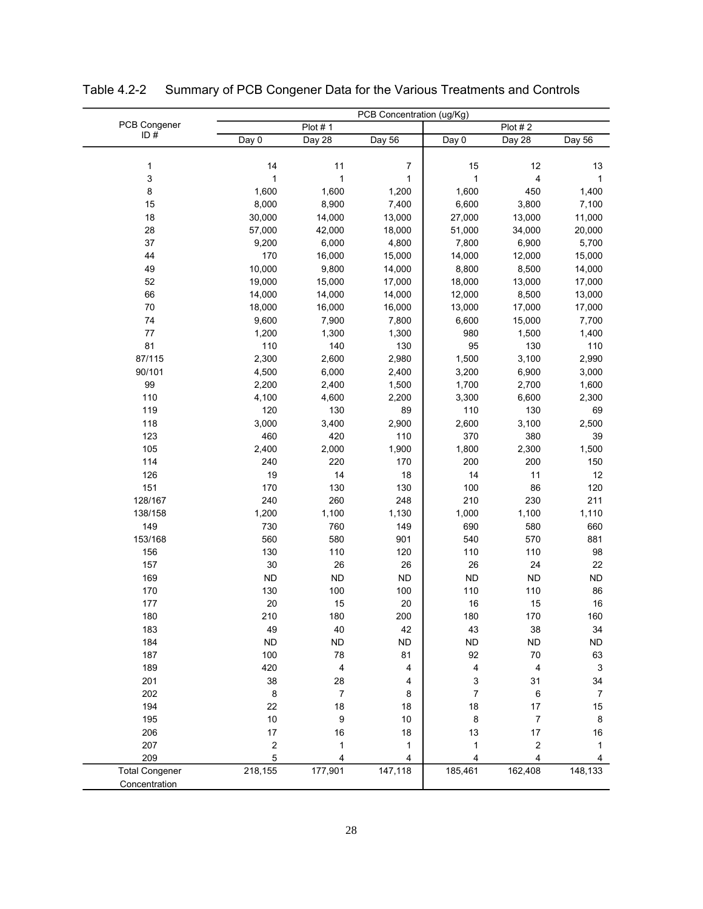|                       | PCB Concentration (ug/Kg) |                 |                 |           |                         |                           |  |  |  |  |
|-----------------------|---------------------------|-----------------|-----------------|-----------|-------------------------|---------------------------|--|--|--|--|
| PCB Congener          |                           | Plot # 1        |                 |           | Plot # 2                |                           |  |  |  |  |
| ID#                   | Day 0                     | Day 28          | Day 56          | Day 0     | Day 28                  | Day 56                    |  |  |  |  |
|                       |                           |                 |                 |           |                         |                           |  |  |  |  |
| 1                     | 14                        | 11              | 7               | 15        | 12                      | 13                        |  |  |  |  |
| 3                     | 1                         | 1               | 1               | 1         | 4                       | $\mathbf{1}$              |  |  |  |  |
| 8                     | 1,600                     | 1,600           | 1,200           | 1,600     | 450                     | 1,400                     |  |  |  |  |
| 15                    | 8,000                     | 8,900           | 7,400           | 6,600     | 3,800                   | 7,100                     |  |  |  |  |
| 18                    | 30,000                    | 14,000          | 13,000          | 27,000    | 13,000                  | 11,000                    |  |  |  |  |
| 28                    | 57,000                    | 42,000          | 18,000          | 51,000    | 34,000                  | 20,000                    |  |  |  |  |
| 37                    | 9,200                     | 6,000           | 4,800           | 7,800     | 6,900                   | 5,700                     |  |  |  |  |
| 44                    | 170                       | 16,000          | 15,000          | 14,000    | 12,000                  | 15,000                    |  |  |  |  |
| 49                    | 10,000                    | 9,800           | 14,000          | 8,800     | 8,500                   | 14,000                    |  |  |  |  |
| 52                    | 19,000                    | 15,000          | 17,000          | 18,000    | 13,000                  | 17,000                    |  |  |  |  |
| 66                    | 14,000                    | 14,000          | 14,000          | 12,000    | 8,500                   | 13,000                    |  |  |  |  |
| 70                    | 18,000                    | 16,000          | 16,000          | 13,000    | 17,000                  | 17,000                    |  |  |  |  |
| 74                    | 9,600                     | 7,900           | 7,800           | 6,600     | 15,000                  | 7,700                     |  |  |  |  |
| 77                    | 1,200                     | 1,300           | 1,300           | 980       | 1,500                   | 1,400                     |  |  |  |  |
| 81                    | 110                       | 140             | 130             | 95        | 130                     | 110                       |  |  |  |  |
| 87/115                | 2,300                     | 2,600           | 2,980           | 1,500     | 3,100                   | 2,990                     |  |  |  |  |
| 90/101                | 4,500                     | 6,000           | 2,400           | 3,200     | 6,900                   | 3,000                     |  |  |  |  |
| 99                    | 2,200                     | 2,400           | 1,500           | 1,700     | 2,700                   | 1,600                     |  |  |  |  |
| 110                   | 4,100                     | 4,600           | 2,200           | 3,300     | 6,600                   | 2,300                     |  |  |  |  |
| 119                   | 120                       | 130             | 89              | 110       | 130                     | 69                        |  |  |  |  |
| 118                   | 3,000                     | 3,400           | 2,900           | 2,600     | 3,100                   | 2,500                     |  |  |  |  |
| 123                   | 460                       | 420             | 110             | 370       | 380                     | 39                        |  |  |  |  |
| 105                   | 2,400                     | 2,000           | 1,900           | 1,800     | 2,300                   | 1,500                     |  |  |  |  |
| 114                   | 240                       | 220             | 170             | 200       | 200                     | 150                       |  |  |  |  |
| 126                   | 19                        | 14              | 18              | 14        | 11                      | 12                        |  |  |  |  |
| 151                   | 170                       | 130             | 130             | 100       | 86                      | 120                       |  |  |  |  |
| 128/167               | 240                       | 260             | 248             | 210       | 230                     | 211                       |  |  |  |  |
| 138/158               | 1,200                     | 1,100           | 1,130           | 1,000     | 1,100                   | 1,110                     |  |  |  |  |
| 149                   | 730                       | 760             | 149             | 690       | 580                     | 660                       |  |  |  |  |
| 153/168               | 560                       | 580             | 901             | 540       | 570                     | 881                       |  |  |  |  |
|                       |                           |                 |                 |           |                         |                           |  |  |  |  |
| 156                   | 130                       | 110             | 120             | 110       | 110                     | 98                        |  |  |  |  |
| 157                   | 30<br><b>ND</b>           | 26<br><b>ND</b> | 26<br><b>ND</b> | 26        | 24                      | 22                        |  |  |  |  |
| 169                   |                           |                 |                 | <b>ND</b> | <b>ND</b>               | <b>ND</b>                 |  |  |  |  |
| 170                   | 130                       | 100             | 100             | 110       | 110                     | 86                        |  |  |  |  |
| 177                   | 20                        | 15              | 20              | 16        | 15                      | 16                        |  |  |  |  |
| 180                   | 210                       | 180             | 200             | 180       | 170                     | 160                       |  |  |  |  |
| 183                   | 49                        | 40              | 42              | 43        | 38                      | 34                        |  |  |  |  |
| 184                   | ND                        | ND              | <b>ND</b>       | <b>ND</b> | ND                      | ND                        |  |  |  |  |
| 187                   | 100                       | 78              | 81              | 92        | $70\,$                  | 63                        |  |  |  |  |
| 189                   | 420                       | 4               | 4               | 4         | 4                       | $\ensuremath{\mathsf{3}}$ |  |  |  |  |
| 201                   | 38                        | 28              | 4               | 3         | 31                      | 34                        |  |  |  |  |
| 202                   | $\bf 8$                   | $\overline{7}$  | 8               | 7         | 6                       | $\overline{7}$            |  |  |  |  |
| 194                   | 22                        | 18              | 18              | $18$      | 17                      | 15                        |  |  |  |  |
| 195                   | $10$                      | 9               | $10$            | $\bf 8$   | $\overline{7}$          | 8                         |  |  |  |  |
| 206                   | 17                        | 16              | 18              | 13        | 17                      | 16                        |  |  |  |  |
| 207                   | 2                         | 1               | 1               | 1         | $\overline{\mathbf{c}}$ | 1                         |  |  |  |  |
| 209                   | 5                         | 4               | 4               | 4         | $\overline{4}$          | 4                         |  |  |  |  |
| <b>Total Congener</b> | 218,155                   | 177,901         | 147,118         | 185,461   | 162,408                 | 148,133                   |  |  |  |  |
| Concentration         |                           |                 |                 |           |                         |                           |  |  |  |  |

Table 4.2-2 Summary of PCB Congener Data for the Various Treatments and Controls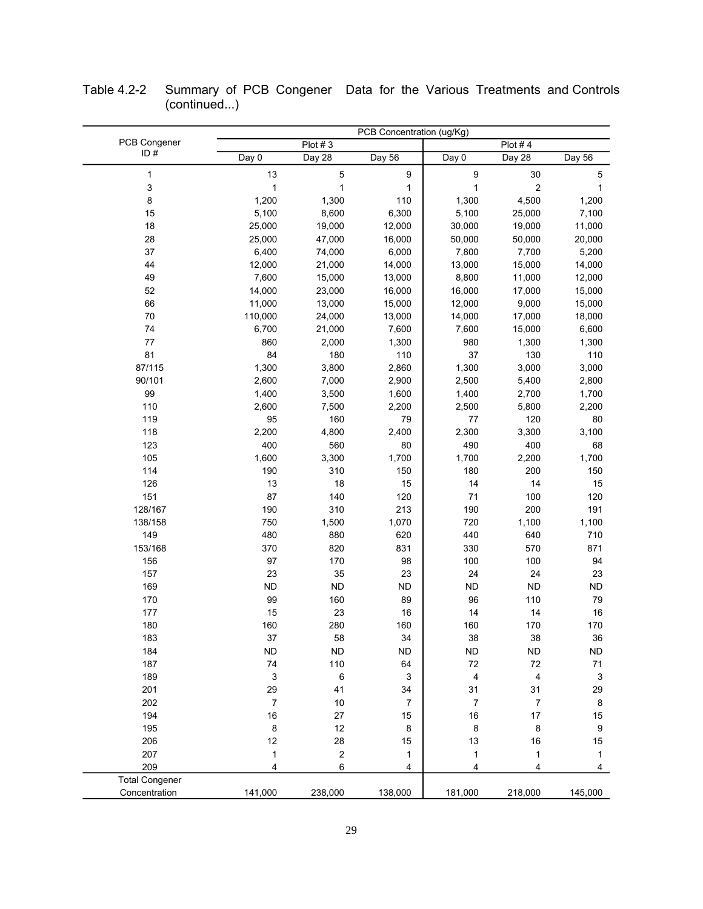|                       | PCB Concentration (ug/Kg) |           |                |                |                         |                           |  |  |  |  |  |
|-----------------------|---------------------------|-----------|----------------|----------------|-------------------------|---------------------------|--|--|--|--|--|
| PCB Congener          |                           | Plot # 3  |                |                | Plot #4                 |                           |  |  |  |  |  |
| ID#                   | Day 0                     | Day 28    | Day $56$       | Day 0          | Day 28                  | Day 56                    |  |  |  |  |  |
| $\mathbf 1$           | 13                        | 5         | 9              | 9              | 30                      | 5                         |  |  |  |  |  |
| 3                     | $\mathbf{1}$              | 1         | 1              | $\mathbf 1$    | $\overline{\mathbf{c}}$ | 1                         |  |  |  |  |  |
| 8                     | 1,200                     | 1,300     | 110            | 1,300          | 4,500                   | 1,200                     |  |  |  |  |  |
| 15                    | 5,100                     | 8,600     | 6,300          | 5,100          | 25,000                  | 7,100                     |  |  |  |  |  |
| 18                    | 25,000                    | 19,000    | 12,000         | 30,000         | 19,000                  | 11,000                    |  |  |  |  |  |
| 28                    | 25,000                    | 47,000    | 16,000         | 50,000         | 50,000                  | 20,000                    |  |  |  |  |  |
| 37                    | 6,400                     | 74,000    | 6,000          | 7,800          | 7,700                   | 5,200                     |  |  |  |  |  |
| 44                    | 12,000                    | 21,000    | 14,000         | 13,000         | 15,000                  | 14,000                    |  |  |  |  |  |
| 49                    | 7,600                     | 15,000    | 13,000         | 8,800          | 11,000                  | 12,000                    |  |  |  |  |  |
| 52                    | 14,000                    | 23,000    | 16,000         | 16,000         | 17,000                  | 15,000                    |  |  |  |  |  |
| 66                    | 11,000                    | 13,000    | 15,000         | 12,000         | 9,000                   | 15,000                    |  |  |  |  |  |
| 70                    | 110,000                   | 24,000    | 13,000         | 14,000         | 17,000                  | 18,000                    |  |  |  |  |  |
| 74                    | 6,700                     | 21,000    | 7,600          | 7,600          | 15,000                  | 6,600                     |  |  |  |  |  |
| 77                    | 860                       | 2,000     | 1,300          | 980            | 1,300                   | 1,300                     |  |  |  |  |  |
| 81                    | 84                        | 180       | 110            | 37             | 130                     | 110                       |  |  |  |  |  |
| 87/115                | 1,300                     | 3,800     | 2,860          | 1,300          | 3,000                   | 3,000                     |  |  |  |  |  |
| 90/101                | 2,600                     | 7,000     | 2,900          | 2,500          | 5,400                   | 2,800                     |  |  |  |  |  |
| 99                    | 1,400                     | 3,500     | 1,600          | 1,400          | 2,700                   | 1,700                     |  |  |  |  |  |
| 110                   | 2,600                     | 7,500     | 2,200          | 2,500          | 5,800                   | 2,200                     |  |  |  |  |  |
| 119                   | 95                        | 160       | 79             | 77             | 120                     | 80                        |  |  |  |  |  |
| 118                   | 2,200                     | 4,800     | 2,400          | 2,300          | 3,300                   | 3,100                     |  |  |  |  |  |
| 123                   | 400                       | 560       | 80             | 490            | 400                     | 68                        |  |  |  |  |  |
| 105                   | 1,600                     | 3,300     | 1,700          | 1,700          | 2,200                   | 1,700                     |  |  |  |  |  |
| 114                   | 190                       | 310       | 150            | 180            | 200                     | 150                       |  |  |  |  |  |
| 126                   | 13                        | 18        | 15             | 14             | 14                      | 15                        |  |  |  |  |  |
| 151                   | 87                        | 140       | 120            | 71             | 100                     | 120                       |  |  |  |  |  |
| 128/167               | 190                       | 310       | 213            | 190            | 200                     | 191                       |  |  |  |  |  |
| 138/158               | 750                       | 1,500     | 1,070          | 720            | 1,100                   | 1,100                     |  |  |  |  |  |
| 149                   | 480                       | 880       | 620            | 440            | 640                     | 710                       |  |  |  |  |  |
| 153/168               | 370                       | 820       | 831            | 330            | 570                     | 871                       |  |  |  |  |  |
| 156                   | 97                        | 170       | 98             | 100            | 100                     | 94                        |  |  |  |  |  |
|                       |                           |           |                |                |                         |                           |  |  |  |  |  |
| 157                   | 23                        | 35        | 23             | 24             | 24                      | 23                        |  |  |  |  |  |
| 169                   | <b>ND</b>                 | <b>ND</b> | <b>ND</b>      | <b>ND</b>      | <b>ND</b>               | <b>ND</b>                 |  |  |  |  |  |
| 170                   | 99                        | 160       | 89             | 96             | 110                     | 79                        |  |  |  |  |  |
| 177                   | 15                        | 23        | 16             | 14             | 14                      | 16                        |  |  |  |  |  |
| 180                   | 160                       | 280       | 160            | 160            | 170                     | 170                       |  |  |  |  |  |
| 183                   | 37                        | 58        | 34             | 38             | 38                      | 36                        |  |  |  |  |  |
| 184                   | ${\sf ND}$                | <b>ND</b> | ND             | ND             | ND                      | <b>ND</b>                 |  |  |  |  |  |
| 187                   | 74                        | 110       | 64             | 72             | $72\,$                  | $\bf 71$                  |  |  |  |  |  |
| 189                   | 3                         | $\,6$     | 3              | 4              | 4                       | $\ensuremath{\mathsf{3}}$ |  |  |  |  |  |
| 201                   | 29                        | 41        | 34             | 31             | 31                      | 29                        |  |  |  |  |  |
| 202                   | $\overline{7}$            | $10$      | $\overline{7}$ | $\overline{7}$ | 7                       | 8                         |  |  |  |  |  |
| 194                   | 16                        | 27        | 15             | $16\,$         | 17                      | 15                        |  |  |  |  |  |
| 195                   | 8                         | 12        | 8              | 8              | 8                       | 9                         |  |  |  |  |  |
| 206                   | 12                        | 28        | 15             | 13             | 16                      | 15                        |  |  |  |  |  |
| 207                   | $\mathbf 1$               | 2         | 1              | 1              | 1                       | $\mathbf{1}$              |  |  |  |  |  |
| 209                   | 4                         | 6         | 4              | 4              | 4                       | 4                         |  |  |  |  |  |
| <b>Total Congener</b> |                           |           |                |                |                         |                           |  |  |  |  |  |
| Concentration         | 141,000                   | 238,000   | 138,000        | 181,000        | 218,000                 | 145,000                   |  |  |  |  |  |

Table 4.2-2 Summary of PCB Congener Data for the Various Treatments and Controls (continued...)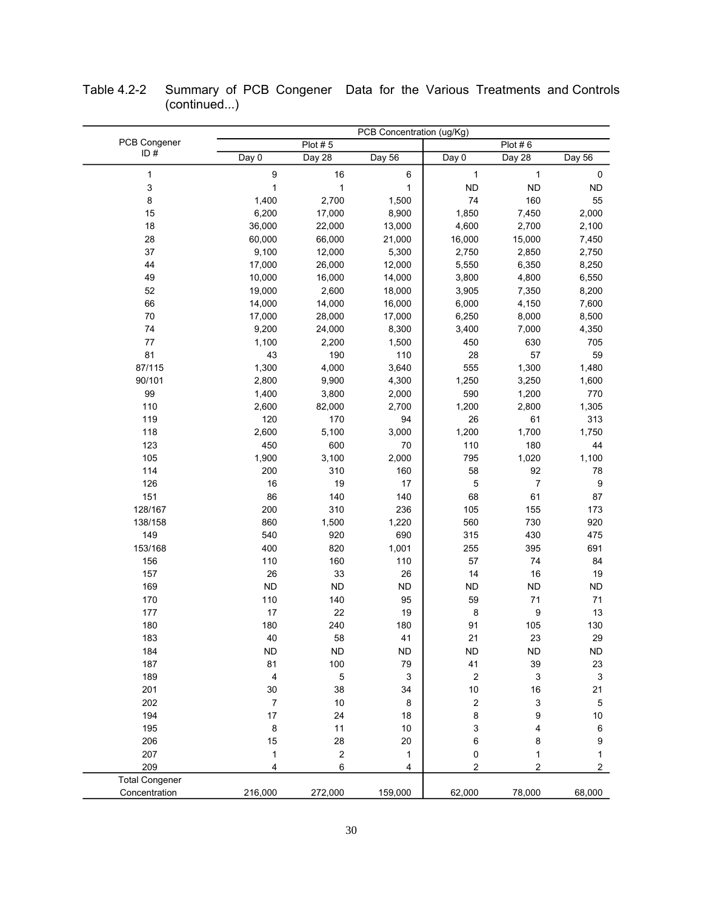|                       | PCB Concentration (ug/Kg) |             |           |                  |              |                           |  |  |  |  |  |
|-----------------------|---------------------------|-------------|-----------|------------------|--------------|---------------------------|--|--|--|--|--|
| PCB Congener          |                           | Plot # 5    |           |                  | Plot # 6     |                           |  |  |  |  |  |
| ID#                   | Day 0                     | Day $28$    | Day 56    | Day 0            | Day $28$     | Day $56$                  |  |  |  |  |  |
| $\mathbf{1}$          | 9                         | 16          | 6         | $\mathbf 1$      | $\mathbf{1}$ | $\pmb{0}$                 |  |  |  |  |  |
| 3                     | 1                         | $\mathbf 1$ | 1         | <b>ND</b>        | <b>ND</b>    | <b>ND</b>                 |  |  |  |  |  |
| 8                     | 1,400                     | 2,700       | 1,500     | 74               | 160          | 55                        |  |  |  |  |  |
| 15                    | 6,200                     | 17,000      | 8,900     | 1,850            | 7,450        | 2,000                     |  |  |  |  |  |
| 18                    | 36,000                    | 22,000      | 13,000    | 4,600            | 2,700        | 2,100                     |  |  |  |  |  |
| 28                    | 60,000                    | 66,000      | 21,000    | 16,000           | 15,000       | 7,450                     |  |  |  |  |  |
| 37                    | 9,100                     | 12,000      | 5,300     | 2,750            | 2,850        | 2,750                     |  |  |  |  |  |
| 44                    | 17,000                    | 26,000      | 12,000    | 5,550            | 6,350        | 8,250                     |  |  |  |  |  |
| 49                    | 10,000                    | 16,000      | 14,000    | 3,800            | 4,800        | 6,550                     |  |  |  |  |  |
| 52                    | 19,000                    | 2,600       | 18,000    | 3,905            | 7,350        | 8,200                     |  |  |  |  |  |
| 66                    | 14,000                    | 14,000      | 16,000    | 6,000            | 4,150        | 7,600                     |  |  |  |  |  |
| 70                    | 17,000                    | 28,000      | 17,000    | 6,250            | 8,000        | 8,500                     |  |  |  |  |  |
| 74                    | 9,200                     | 24,000      | 8,300     | 3,400            | 7,000        | 4,350                     |  |  |  |  |  |
| $77$                  | 1,100                     | 2,200       | 1,500     | 450              | 630          | 705                       |  |  |  |  |  |
| 81                    | 43                        | 190         | 110       | 28               | 57           | 59                        |  |  |  |  |  |
| 87/115                | 1,300                     | 4,000       | 3,640     | 555              | 1,300        | 1,480                     |  |  |  |  |  |
| 90/101                | 2,800                     | 9,900       | 4,300     | 1,250            | 3,250        | 1,600                     |  |  |  |  |  |
| 99                    | 1,400                     | 3,800       | 2,000     | 590              | 1,200        | 770                       |  |  |  |  |  |
| 110                   | 2,600                     | 82,000      | 2,700     | 1,200            | 2,800        | 1,305                     |  |  |  |  |  |
| 119                   | 120                       | 170         | 94        | 26               | 61           | 313                       |  |  |  |  |  |
| 118                   | 2,600                     | 5,100       | 3,000     | 1,200            | 1,700        | 1,750                     |  |  |  |  |  |
| 123                   | 450                       | 600         | 70        | 110              | 180          | 44                        |  |  |  |  |  |
| 105                   | 1,900                     | 3,100       | 2,000     | 795              | 1,020        | 1,100                     |  |  |  |  |  |
| 114                   | 200                       | 310         | 160       | 58               | 92           | 78                        |  |  |  |  |  |
| 126                   | 16                        | 19          | 17        | 5                | 7            | 9                         |  |  |  |  |  |
| 151                   | 86                        | 140         | 140       | 68               | 61           | 87                        |  |  |  |  |  |
| 128/167               | 200                       | 310         | 236       | 105              | 155          | 173                       |  |  |  |  |  |
| 138/158               | 860                       |             | 1,220     | 560              | 730          | 920                       |  |  |  |  |  |
| 149                   |                           | 1,500       | 690       |                  |              |                           |  |  |  |  |  |
| 153/168               | 540<br>400                | 920<br>820  | 1,001     | 315<br>255       | 430<br>395   | 475<br>691                |  |  |  |  |  |
| 156                   | 110                       | 160         | 110       | 57               | 74           | 84                        |  |  |  |  |  |
| 157                   |                           |             |           | 14               |              |                           |  |  |  |  |  |
|                       | 26                        | 33          | 26        |                  | 16           | 19                        |  |  |  |  |  |
| 169                   | ${\sf ND}$                | <b>ND</b>   | <b>ND</b> | ND               | ND           | <b>ND</b>                 |  |  |  |  |  |
| 170                   | 110                       | 140         | 95        | 59               | 71           | 71                        |  |  |  |  |  |
| 177                   | 17                        | 22          | 19        | 8                | 9            | 13                        |  |  |  |  |  |
| 180                   | 180                       | 240         | 180       | 91               | 105          | 130                       |  |  |  |  |  |
| 183                   | 40                        | 58          | 41        | 21               | 23           | 29                        |  |  |  |  |  |
| 184                   | <b>ND</b>                 | <b>ND</b>   | <b>ND</b> | ND               | ND           | <b>ND</b>                 |  |  |  |  |  |
| 187                   | 81                        | 100         | 79        | 41               | 39           | 23                        |  |  |  |  |  |
| 189                   | 4                         | $\mathbf 5$ | 3         | $\boldsymbol{2}$ | 3            | $\ensuremath{\mathsf{3}}$ |  |  |  |  |  |
| 201                   | 30                        | 38          | 34        | $10$             | 16           | 21                        |  |  |  |  |  |
| 202                   | 7                         | $10$        | 8         | $\boldsymbol{2}$ | 3            | 5                         |  |  |  |  |  |
| 194                   | 17                        | 24          | 18        | 8                | 9            | $10$                      |  |  |  |  |  |
| 195                   | 8                         | 11          | $10$      | 3                | 4            | 6                         |  |  |  |  |  |
| 206                   | 15                        | 28          | 20        | 6                | 8            | 9                         |  |  |  |  |  |
| 207                   | 1                         | 2           | 1         | 0                | 1            | 1                         |  |  |  |  |  |
| 209                   | 4                         | 6           | 4         | 2                | 2            | $\overline{a}$            |  |  |  |  |  |
| <b>Total Congener</b> |                           |             |           |                  |              |                           |  |  |  |  |  |
| Concentration         | 216,000                   | 272,000     | 159,000   | 62,000           | 78,000       | 68,000                    |  |  |  |  |  |

Table 4.2-2 Summary of PCB Congener Data for the Various Treatments and Controls (continued...)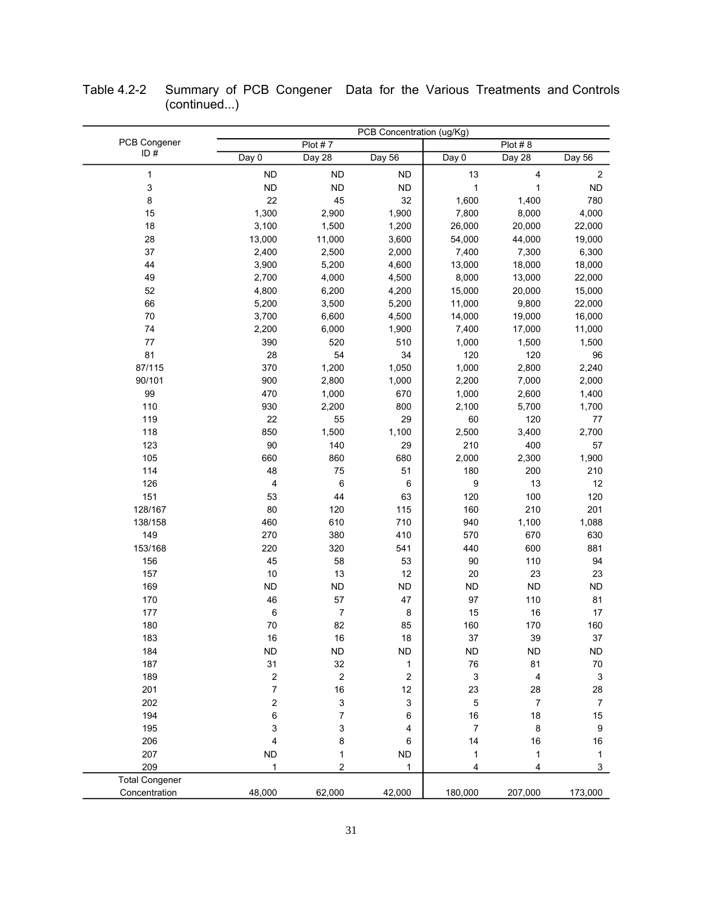|                              | PCB Concentration (ug/Kg) |                          |                  |             |                  |                           |  |  |  |  |  |
|------------------------------|---------------------------|--------------------------|------------------|-------------|------------------|---------------------------|--|--|--|--|--|
| PCB Congener                 |                           | Plot # 7                 |                  |             | Plot # 8         |                           |  |  |  |  |  |
| ID#                          | Day 0                     | Day 28                   | Day 56           | Day 0       | Day 28           | Day 56                    |  |  |  |  |  |
| $\mathbf{1}$                 | <b>ND</b>                 | <b>ND</b>                | <b>ND</b>        | 13          | 4                | $\overline{c}$            |  |  |  |  |  |
| $\sqrt{3}$                   | <b>ND</b>                 | <b>ND</b>                | <b>ND</b>        | $\mathbf 1$ | 1                | <b>ND</b>                 |  |  |  |  |  |
| 8                            | 22                        | 45                       | 32               | 1,600       | 1,400            | 780                       |  |  |  |  |  |
| 15                           | 1,300                     | 2,900                    | 1,900            | 7,800       | 8,000            | 4,000                     |  |  |  |  |  |
| 18                           | 3,100                     | 1,500                    | 1,200            | 26,000      | 20,000           | 22,000                    |  |  |  |  |  |
| 28                           | 13,000                    | 11,000                   | 3,600            | 54,000      | 44,000           | 19,000                    |  |  |  |  |  |
| 37                           | 2,400                     | 2,500                    | 2,000            | 7,400       | 7,300            | 6,300                     |  |  |  |  |  |
| 44                           | 3,900                     | 5,200                    | 4,600            | 13,000      | 18,000           | 18,000                    |  |  |  |  |  |
| 49                           | 2,700                     | 4,000                    | 4,500            | 8,000       | 13,000           | 22,000                    |  |  |  |  |  |
| 52                           | 4,800                     | 6,200                    | 4,200            | 15,000      | 20,000           | 15,000                    |  |  |  |  |  |
| 66                           | 5,200                     | 3,500                    | 5,200            | 11,000      | 9,800            | 22,000                    |  |  |  |  |  |
| 70                           | 3,700                     | 6,600                    | 4,500            | 14,000      | 19,000           | 16,000                    |  |  |  |  |  |
| 74                           | 2,200                     | 6,000                    | 1,900            | 7,400       | 17,000           | 11,000                    |  |  |  |  |  |
| 77                           | 390                       | 520                      | 510              | 1,000       | 1,500            | 1,500                     |  |  |  |  |  |
| 81                           | 28                        | 54                       | 34               | 120         | 120              | 96                        |  |  |  |  |  |
| 87/115                       | 370                       | 1,200                    | 1,050            | 1,000       | 2,800            | 2,240                     |  |  |  |  |  |
| 90/101                       | 900                       | 2,800                    | 1,000            | 2,200       | 7,000            | 2,000                     |  |  |  |  |  |
| 99                           | 470                       | 1,000                    | 670              | 1,000       | 2,600            | 1,400                     |  |  |  |  |  |
| 110                          | 930                       | 2,200                    | 800              | 2,100       | 5,700            | 1,700                     |  |  |  |  |  |
| 119                          | 22                        | 55                       | 29               | 60          | 120              | $77$                      |  |  |  |  |  |
| 118                          | 850                       | 1,500                    | 1,100            | 2,500       | 3,400            | 2,700                     |  |  |  |  |  |
| 123                          | 90                        | 140                      | 29               | 210         | 400              | 57                        |  |  |  |  |  |
| 105                          | 660                       | 860                      | 680              | 2,000       | 2,300            | 1,900                     |  |  |  |  |  |
| 114                          | 48                        | 75                       | 51               | 180         | 200              | 210                       |  |  |  |  |  |
| 126                          | 4                         | 6                        | 6                | 9           | 13               | 12                        |  |  |  |  |  |
| 151                          | 53                        | 44                       | 63               | 120         | 100              | 120                       |  |  |  |  |  |
| 128/167                      | 80                        | 120                      | 115              | 160         | 210              | 201                       |  |  |  |  |  |
| 138/158                      | 460                       | 610                      | 710              | 940         | 1,100            | 1,088                     |  |  |  |  |  |
| 149                          | 270                       | 380                      | 410              | 570         | 670              | 630                       |  |  |  |  |  |
| 153/168                      | 220                       | 320                      | 541              | 440         | 600              | 881                       |  |  |  |  |  |
| 156                          | 45                        | 58                       | 53               | 90          | 110              | 94                        |  |  |  |  |  |
| 157                          | 10                        | 13                       | 12               | 20          | 23               | 23                        |  |  |  |  |  |
| 169                          | ND                        | <b>ND</b>                | <b>ND</b>        | ND          | <b>ND</b>        | <b>ND</b>                 |  |  |  |  |  |
| 170                          | 46                        | 57                       | 47               | 97          | 110              | 81                        |  |  |  |  |  |
| 177                          | 6                         | 7                        | 8                | 15          | 16               | 17                        |  |  |  |  |  |
| 180                          | 70                        | 82                       | 85               | 160         | 170              | 160                       |  |  |  |  |  |
| 183                          | 16                        | $16\,$                   | $18$             | 37          | 39               | 37                        |  |  |  |  |  |
| 184                          | ND                        | <b>ND</b>                | <b>ND</b>        | ND          | ND               | ${\sf ND}$                |  |  |  |  |  |
| 187                          | 31                        | 32                       |                  | 76          | 81               | $70\,$                    |  |  |  |  |  |
| 189                          |                           |                          | 1                |             |                  |                           |  |  |  |  |  |
|                              | $\overline{\mathbf{c}}$   | $\overline{\mathbf{c}}$  | $\boldsymbol{2}$ | 3           | 4                | $\ensuremath{\mathsf{3}}$ |  |  |  |  |  |
| 201                          | 7                         | 16                       | 12               | 23          | 28               | 28                        |  |  |  |  |  |
| 202                          | 2                         | 3                        | 3                | 5           | $\boldsymbol{7}$ | $\boldsymbol{7}$          |  |  |  |  |  |
| 194                          | 6                         | $\overline{\mathcal{I}}$ | 6                | 16          | 18               | 15                        |  |  |  |  |  |
| 195                          | 3                         | 3                        | 4                | 7           | 8                | 9                         |  |  |  |  |  |
| 206                          | 4                         | 8                        | 6                | 14          | $16\,$           | $16\,$                    |  |  |  |  |  |
| 207                          | ${\sf ND}$<br>1           | 1                        | ${\sf ND}$       | 1           | 1                | $\mathbf{1}$              |  |  |  |  |  |
| 209<br><b>Total Congener</b> |                           | $\overline{c}$           | 1                | 4           | 4                | 3 <sup>1</sup>            |  |  |  |  |  |
|                              |                           |                          |                  |             |                  |                           |  |  |  |  |  |
| Concentration                | 48,000                    | 62,000                   | 42,000           | 180,000     | 207,000          | 173,000                   |  |  |  |  |  |

Table 4.2-2 Summary of PCB Congener Data for the Various Treatments and Controls (continued...)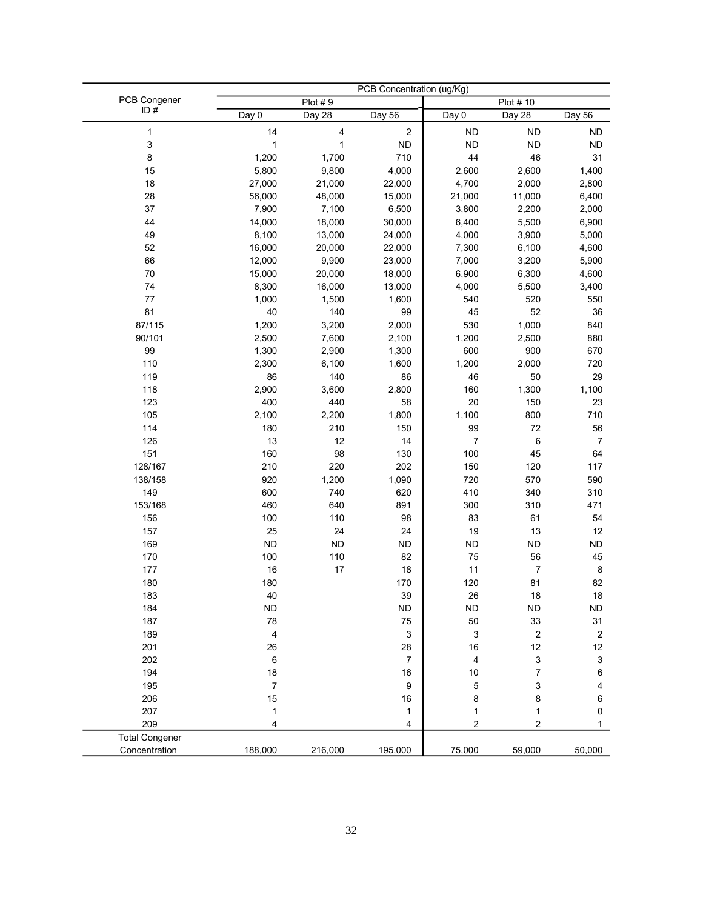|                       |                         |             | PCB Concentration (ug/Kg) |                  |                         |                           |  |  |  |  |  |  |  |
|-----------------------|-------------------------|-------------|---------------------------|------------------|-------------------------|---------------------------|--|--|--|--|--|--|--|
| PCB Congener          |                         | Plot # 9    |                           |                  | <b>Plot #10</b>         |                           |  |  |  |  |  |  |  |
| ID#                   | Day 0                   | Day 28      | Day 56                    | Day 0            | Day 28                  | Day 56                    |  |  |  |  |  |  |  |
| $\mathbf{1}$          | 14                      | 4           | 2                         | <b>ND</b>        | <b>ND</b>               | <b>ND</b>                 |  |  |  |  |  |  |  |
| 3                     | $\mathbf{1}$            | $\mathbf 1$ | <b>ND</b>                 | <b>ND</b>        | <b>ND</b>               | <b>ND</b>                 |  |  |  |  |  |  |  |
| 8                     | 1,200                   | 1,700       | 710                       | 44               | 46                      | 31                        |  |  |  |  |  |  |  |
| 15                    | 5,800                   | 9,800       | 4,000                     | 2,600            | 2,600                   | 1,400                     |  |  |  |  |  |  |  |
| 18                    | 27,000                  | 21,000      | 22,000                    | 4,700            | 2,000                   | 2,800                     |  |  |  |  |  |  |  |
| 28                    | 56,000                  | 48,000      | 15,000                    | 21,000           | 11,000                  | 6,400                     |  |  |  |  |  |  |  |
| 37                    | 7,900                   | 7,100       | 6,500                     | 3,800            | 2,200                   | 2,000                     |  |  |  |  |  |  |  |
| 44                    | 14,000                  | 18,000      | 30,000                    | 6,400            | 5,500                   | 6,900                     |  |  |  |  |  |  |  |
| 49                    | 8,100                   | 13,000      | 24,000                    | 4,000            | 3,900                   | 5,000                     |  |  |  |  |  |  |  |
| 52                    | 16,000                  | 20,000      | 22,000                    | 7,300            | 6,100                   | 4,600                     |  |  |  |  |  |  |  |
| 66                    | 12,000                  | 9,900       | 23,000                    | 7,000            | 3,200                   | 5,900                     |  |  |  |  |  |  |  |
| 70                    | 15,000                  | 20,000      | 18,000                    | 6,900            | 6,300                   | 4,600                     |  |  |  |  |  |  |  |
| 74                    | 8,300                   | 16,000      | 13,000                    | 4,000            | 5,500                   | 3,400                     |  |  |  |  |  |  |  |
| 77                    | 1,000                   | 1,500       | 1,600                     | 540              | 520                     | 550                       |  |  |  |  |  |  |  |
| 81                    | 40                      | 140         | 99                        | 45               | 52                      | 36                        |  |  |  |  |  |  |  |
| 87/115                | 1,200                   | 3,200       | 2,000                     | 530              | 1,000                   | 840                       |  |  |  |  |  |  |  |
| 90/101                | 2,500                   | 7,600       | 2,100                     | 1,200            | 2,500                   | 880                       |  |  |  |  |  |  |  |
| 99                    | 1,300                   | 2,900       | 1,300                     | 600              | 900                     | 670                       |  |  |  |  |  |  |  |
| 110                   | 2,300                   | 6,100       | 1,600                     | 1,200            | 2,000                   | 720                       |  |  |  |  |  |  |  |
| 119                   | 86                      | 140         | 86                        | 46               | 50                      | 29                        |  |  |  |  |  |  |  |
| 118                   | 2,900                   | 3,600       | 2,800                     | 160              | 1,300                   | 1,100                     |  |  |  |  |  |  |  |
| 123                   | 400                     | 440         | 58                        | 20               | 150                     | 23                        |  |  |  |  |  |  |  |
| 105                   | 2,100                   | 2,200       | 1,800                     | 1,100            | 800                     | 710                       |  |  |  |  |  |  |  |
| 114                   | 180                     | 210         | 150                       | 99               | 72                      | 56                        |  |  |  |  |  |  |  |
| 126                   | 13                      | 12          | 14                        | 7                | 6                       | 7                         |  |  |  |  |  |  |  |
| 151                   | 160                     | 98          | 130                       | 100              | 45                      | 64                        |  |  |  |  |  |  |  |
| 128/167               | 210                     | 220         | 202                       | 150              | 120                     | 117                       |  |  |  |  |  |  |  |
| 138/158               | 920                     | 1,200       | 1,090                     | 720              | 570                     | 590                       |  |  |  |  |  |  |  |
| 149                   | 600                     | 740         | 620                       | 410              | 340                     | 310                       |  |  |  |  |  |  |  |
| 153/168               | 460                     | 640         | 891                       | 300              | 310                     | 471                       |  |  |  |  |  |  |  |
| 156                   | 100                     | 110         | 98                        | 83               | 61                      | 54                        |  |  |  |  |  |  |  |
| 157                   | 25                      | 24          | 24                        | 19               | 13                      | 12                        |  |  |  |  |  |  |  |
| 169                   | <b>ND</b>               | <b>ND</b>   | <b>ND</b>                 | <b>ND</b>        | ND                      | <b>ND</b>                 |  |  |  |  |  |  |  |
| 170                   | 100                     | 110         | 82                        | 75               | 56                      | 45                        |  |  |  |  |  |  |  |
| 177                   | 16                      | 17          | 18                        | 11               | 7                       | 8                         |  |  |  |  |  |  |  |
| 180                   | 180                     |             | 170                       | 120              | 81                      | 82                        |  |  |  |  |  |  |  |
| 183                   | $40\,$                  |             | 39                        | 26               | 18                      | $18\,$                    |  |  |  |  |  |  |  |
| 184                   | ND                      |             | ${\sf ND}$                | ND               | ND                      | <b>ND</b>                 |  |  |  |  |  |  |  |
| 187                   | 78                      |             | ${\bf 75}$                | 50               | 33                      | 31                        |  |  |  |  |  |  |  |
| 189                   | $\overline{\mathbf{4}}$ |             | 3                         | 3                | $\overline{\mathbf{c}}$ | $\overline{\mathbf{c}}$   |  |  |  |  |  |  |  |
| 201                   | 26                      |             | 28                        | 16               | 12                      | $12\,$                    |  |  |  |  |  |  |  |
| 202                   | $\,6\,$                 |             | $\overline{7}$            | 4                | 3                       | $\ensuremath{\mathsf{3}}$ |  |  |  |  |  |  |  |
| 194                   | 18                      |             | 16                        | $10$             | $\overline{7}$          | 6                         |  |  |  |  |  |  |  |
| 195                   | $\overline{7}$          |             | 9                         | 5                | 3                       | 4                         |  |  |  |  |  |  |  |
| 206                   | 15                      |             | 16                        | 8                | 8                       | 6                         |  |  |  |  |  |  |  |
| 207                   | 1                       |             | 1                         | 1                | 1                       | 0                         |  |  |  |  |  |  |  |
| 209                   | 4                       |             | 4                         | $\boldsymbol{2}$ | 2                       | $\mathbf{1}$              |  |  |  |  |  |  |  |
| <b>Total Congener</b> |                         |             |                           |                  |                         |                           |  |  |  |  |  |  |  |
| Concentration         | 188,000                 | 216,000     | 195,000                   | 75,000           | 59,000                  | 50,000                    |  |  |  |  |  |  |  |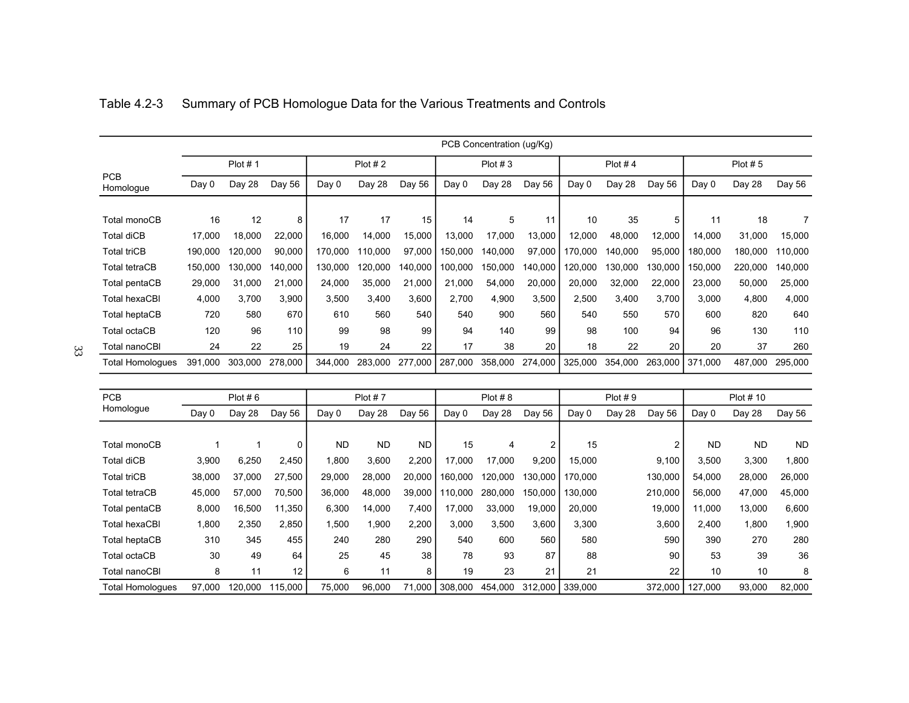|                         | PCB Concentration (ug/Kg) |          |         |         |          |         |         |          |         |         |         |         |         |          |         |
|-------------------------|---------------------------|----------|---------|---------|----------|---------|---------|----------|---------|---------|---------|---------|---------|----------|---------|
|                         |                           | Plot # 1 |         |         | Plot # 2 |         |         | Plot # 3 |         |         | Plot #4 |         |         | Plot # 5 |         |
| <b>PCB</b><br>Homologue | Day 0                     | Day 28   | Day 56  | Day 0   | Day 28   | Day 56  | Day 0   | Day 28   | Day 56  | Day 0   | Day 28  | Day 56  | Day 0   | Day 28   | Day 56  |
| Total monoCB            | 16                        | 12       | 8       | 17      | 17       | 15      | 14      | 5        | 11      | 10      | 35      | 5       | 11      | 18       | 7       |
| <b>Total diCB</b>       | 17,000                    | 18,000   | 22,000  | 16,000  | 14,000   | 15,000  | 13,000  | 17,000   | 13,000  | 12,000  | 48,000  | 12,000  | 14,000  | 31,000   | 15,000  |
| <b>Total triCB</b>      | 190,000                   | 120,000  | 90,000  | 170,000 | 110,000  | 97,000  | 150,000 | 140,000  | 97,000  | 170,000 | 140,000 | 95,000  | 180,000 | 180,000  | 110,000 |
| <b>Total tetraCB</b>    | 150,000                   | 130,000  | 140,000 | 130,000 | 120,000  | 140,000 | 100,000 | 150,000  | 140,000 | 120,000 | 130,000 | 130,000 | 150,000 | 220,000  | 140,000 |
| Total pentaCB           | 29,000                    | 31,000   | 21,000  | 24,000  | 35,000   | 21,000  | 21,000  | 54,000   | 20,000  | 20,000  | 32,000  | 22,000  | 23,000  | 50,000   | 25,000  |
| Total hexaCBI           | 4,000                     | 3,700    | 3,900   | 3,500   | 3,400    | 3,600   | 2,700   | 4,900    | 3,500   | 2,500   | 3,400   | 3,700   | 3,000   | 4,800    | 4,000   |
| <b>Total heptaCB</b>    | 720                       | 580      | 670     | 610     | 560      | 540     | 540     | 900      | 560     | 540     | 550     | 570     | 600     | 820      | 640     |
| <b>Total octaCB</b>     | 120                       | 96       | 110     | 99      | 98       | 99      | 94      | 140      | 99      | 98      | 100     | 94      | 96      | 130      | 110     |
| Total nanoCBI           | 24                        | 22       | 25      | 19      | 24       | 22      | 17      | 38       | 20      | 18      | 22      | 20      | 20      | 37       | 260     |
| <b>Total Homologues</b> | 391,000                   | 303,000  | 278.000 | 344,000 | 283.000  | 277,000 | 287,000 | 358,000  | 274,000 | 325,000 | 354,000 | 263,000 | 371,000 | 487.000  | 295,000 |

# Table 4.2-3 Summary of PCB Homologue Data for the Various Treatments and Controls

| ٧<br>I<br>×<br>۰.<br>۰ |  |
|------------------------|--|
|                        |  |

| <b>PCB</b>              | Plot # 6 |         |         | Plot # $7$ |           | Plot # 8  |                |         | Plot # 9 |                 |        | Plot # 10      |           |           |        |
|-------------------------|----------|---------|---------|------------|-----------|-----------|----------------|---------|----------|-----------------|--------|----------------|-----------|-----------|--------|
| Homologue               | Day 0    | Day 28  | Day 56  | Day 0      | Day 28    | Day 56    | Day 0          | Day 28  | Day 56   | Day 0           | Day 28 | Day 56         | Day 0     | Day 28    | Day 56 |
|                         |          |         |         |            |           |           |                |         |          |                 |        |                |           |           |        |
| Total monoCB            |          |         | 0       | <b>ND</b>  | <b>ND</b> | <b>ND</b> | 15             | 4       | 2        | 15              |        | $\overline{2}$ | <b>ND</b> | <b>ND</b> | ND.    |
| <b>Total diCB</b>       | 3,900    | 6.250   | 2.450   | 1,800      | 3,600     | 2,200     | 17.000         | 17,000  | 9,200    | 15,000          |        | 9,100          | 3.500     | 3,300     | 1,800  |
| <b>Total triCB</b>      | 38,000   | 37,000  | 27.500  | 29,000     | 28,000    | 20,000    | 160,000        | 120,000 | 130.000  | 170,000         |        | 130,000        | 54,000    | 28,000    | 26,000 |
| Total tetraCB           | 45,000   | 57,000  | 70,500  | 36,000     | 48,000    | 39,000    | 110.000        | 280,000 | 150.000  | 130.000         |        | 210,000        | 56,000    | 47,000    | 45,000 |
| Total pentaCB           | 8,000    | 16.500  | 11,350  | 6,300      | 14,000    | 7.400     | 17,000         | 33,000  | 19.000   | 20.000          |        | 19,000         | 11,000    | 13,000    | 6,600  |
| <b>Total hexaCBI</b>    | 1,800    | 2,350   | 2,850   | 1,500      | ,900      | 2,200     | 3,000          | 3,500   | 3,600    | 3,300           |        | 3,600          | 2,400     | 1,800     | 1,900  |
| <b>Total heptaCB</b>    | 310      | 345     | 455     | 240        | 280       | 290       | 540            | 600     | 560      | 580             |        | 590            | 390       | 270       | 280    |
| Total octaCB            | 30       | 49      | 64      | 25         | 45        | 38        | 78             | 93      | 87       | 88              |        | 90             | 53        | 39        | 36     |
| Total nanoCBI           | 8        | 11      | 12      | 6          | 11        | 8         | 19             | 23      | 21       | 21              |        | 22             | 10        | 10        | 8      |
| <b>Total Homologues</b> | 97.000   | 120.000 | 115.000 | 75,000     | 96.000    |           | 71.000 308.000 | 454.000 |          | 312.000 339.000 |        | 372.000        | 127.000   | 93.000    | 82,000 |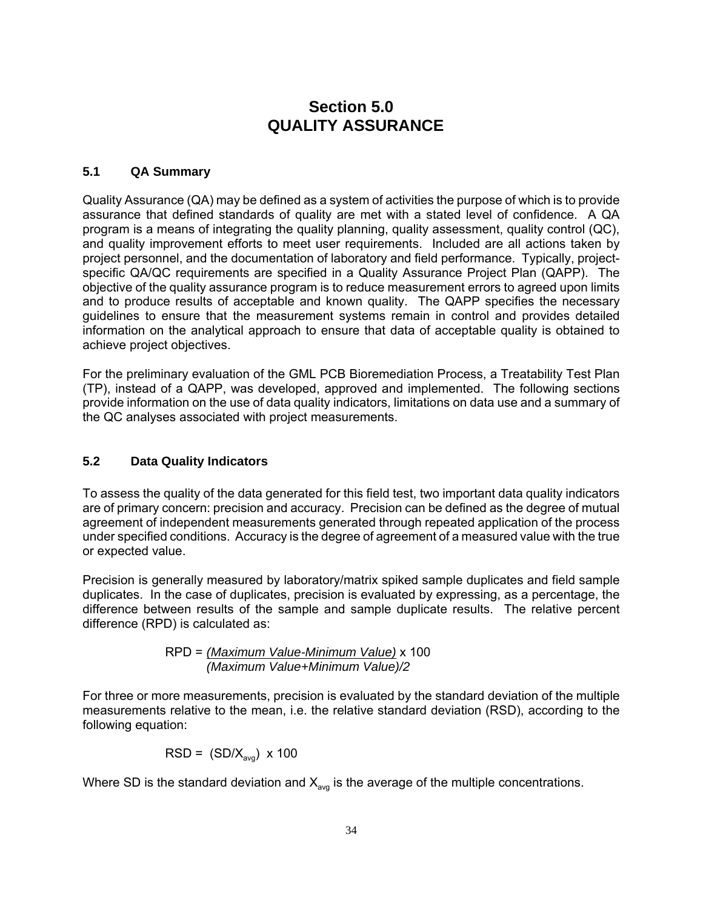# **Section 5.0 QUALITY ASSURANCE**

# <span id="page-40-0"></span>**5.1 QA Summary**

Quality Assurance (QA) may be defined as a system of activities the purpose of which is to provide assurance that defined standards of quality are met with a stated level of confidence. A QA program is a means of integrating the quality planning, quality assessment, quality control (QC), and quality improvement efforts to meet user requirements. Included are all actions taken by project personnel, and the documentation of laboratory and field performance. Typically, projectspecific QA/QC requirements are specified in a Quality Assurance Project Plan (QAPP). The objective of the quality assurance program is to reduce measurement errors to agreed upon limits and to produce results of acceptable and known quality. The QAPP specifies the necessary guidelines to ensure that the measurement systems remain in control and provides detailed information on the analytical approach to ensure that data of acceptable quality is obtained to achieve project objectives.

For the preliminary evaluation of the GML PCB Bioremediation Process, a Treatability Test Plan (TP), instead of a QAPP, was developed, approved and implemented. The following sections provide information on the use of data quality indicators, limitations on data use and a summary of the QC analyses associated with project measurements.

# **5.2 Data Quality Indicators**

To assess the quality of the data generated for this field test, two important data quality indicators are of primary concern: precision and accuracy. Precision can be defined as the degree of mutual agreement of independent measurements generated through repeated application of the process under specified conditions. Accuracy is the degree of agreement of a measured value with the true or expected value.

Precision is generally measured by laboratory/matrix spiked sample duplicates and field sample duplicates. In the case of duplicates, precision is evaluated by expressing, as a percentage, the difference between results of the sample and sample duplicate results. The relative percent difference (RPD) is calculated as:

> RPD = *(Maximum Value-Minimum Value)* x 100 *(Maximum Value+Minimum Value)/2*

For three or more measurements, precision is evaluated by the standard deviation of the multiple measurements relative to the mean, i.e. the relative standard deviation (RSD), according to the following equation:

$$
RSD = (SD/X_{avg}) \times 100
$$

Where SD is the standard deviation and  $X_{\text{avg}}$  is the average of the multiple concentrations.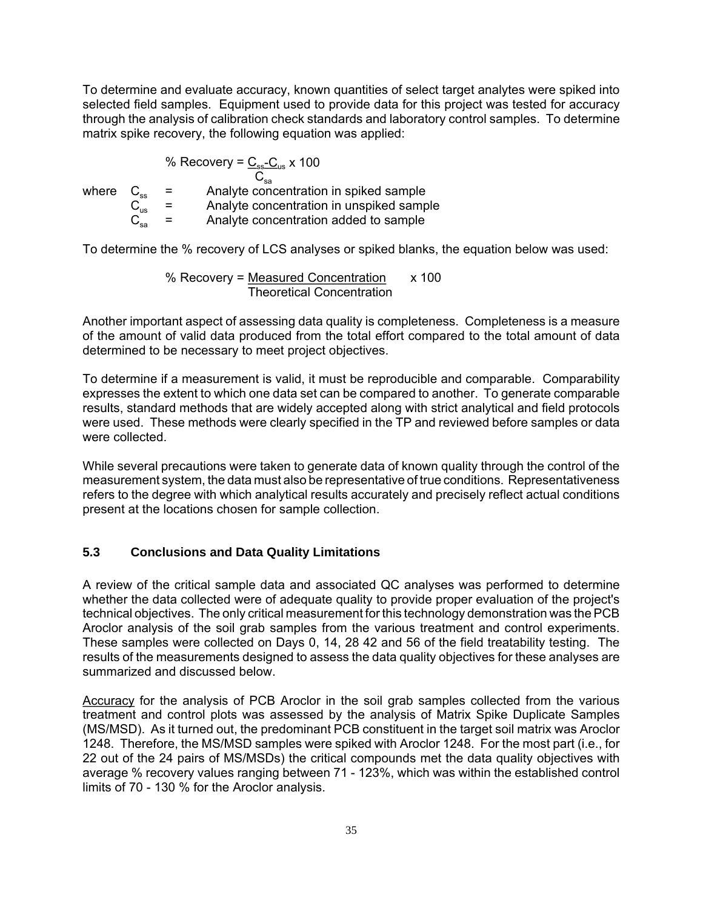To determine and evaluate accuracy, known quantities of select target analytes were spiked into selected field samples. Equipment used to provide data for this project was tested for accuracy through the analysis of calibration check standards and laboratory control samples. To determine matrix spike recovery, the following equation was applied:

% Recovery = <u>C<sub>ss</sub>-C<sub>us</sub> x 100</u>  $C_{sa}$ where  $C_{ss}$  = Analyte concentration in spiked sample<br> $C_{us}$  = Analyte concentration in unspiked samp  $C_{us}$  = Analyte concentration in unspiked sample<br> $C_{sa}$  = Analyte concentration added to sample Analyte concentration added to sample

To determine the % recovery of LCS analyses or spiked blanks, the equation below was used:

$$
\% \text{ Recovery} = \underline{\text{Measured Concentration}} \qquad \times 100
$$
  
\nTheoretical Concentration

Another important aspect of assessing data quality is completeness. Completeness is a measure of the amount of valid data produced from the total effort compared to the total amount of data determined to be necessary to meet project objectives.

To determine if a measurement is valid, it must be reproducible and comparable. Comparability expresses the extent to which one data set can be compared to another. To generate comparable results, standard methods that are widely accepted along with strict analytical and field protocols were used. These methods were clearly specified in the TP and reviewed before samples or data were collected.

While several precautions were taken to generate data of known quality through the control of the measurement system, the data must also be representative of true conditions. Representativeness refers to the degree with which analytical results accurately and precisely reflect actual conditions present at the locations chosen for sample collection.

# **5.3 Conclusions and Data Quality Limitations**

A review of the critical sample data and associated QC analyses was performed to determine whether the data collected were of adequate quality to provide proper evaluation of the project's technical objectives. The only critical measurement for this technology demonstration was the PCB Aroclor analysis of the soil grab samples from the various treatment and control experiments. These samples were collected on Days 0, 14, 28 42 and 56 of the field treatability testing. The results of the measurements designed to assess the data quality objectives for these analyses are summarized and discussed below.

Accuracy for the analysis of PCB Aroclor in the soil grab samples collected from the various treatment and control plots was assessed by the analysis of Matrix Spike Duplicate Samples (MS/MSD). As it turned out, the predominant PCB constituent in the target soil matrix was Aroclor 1248. Therefore, the MS/MSD samples were spiked with Aroclor 1248. For the most part (i.e., for 22 out of the 24 pairs of MS/MSDs) the critical compounds met the data quality objectives with average % recovery values ranging between 71 - 123%, which was within the established control limits of 70 - 130 % for the Aroclor analysis.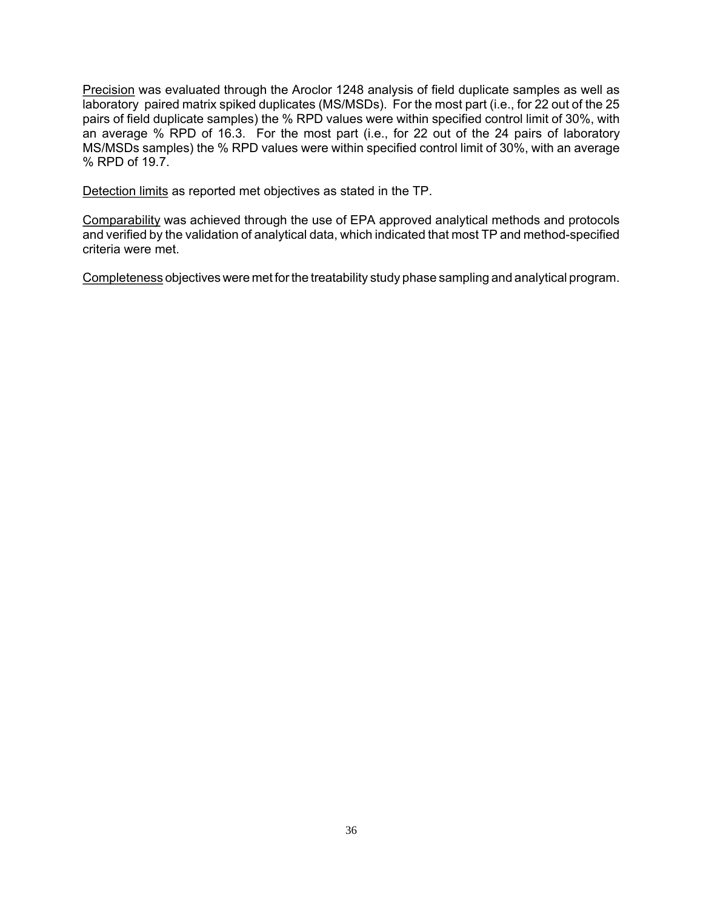Precision was evaluated through the Aroclor 1248 analysis of field duplicate samples as well as laboratory paired matrix spiked duplicates (MS/MSDs). For the most part (i.e., for 22 out of the 25 pairs of field duplicate samples) the % RPD values were within specified control limit of 30%, with an average % RPD of 16.3. For the most part (i.e., for 22 out of the 24 pairs of laboratory MS/MSDs samples) the % RPD values were within specified control limit of 30%, with an average % RPD of 19.7.

Detection limits as reported met objectives as stated in the TP.

Comparability was achieved through the use of EPA approved analytical methods and protocols and verified by the validation of analytical data, which indicated that most TP and method-specified criteria were met.

Completeness objectives were met for the treatability study phase sampling and analytical program.